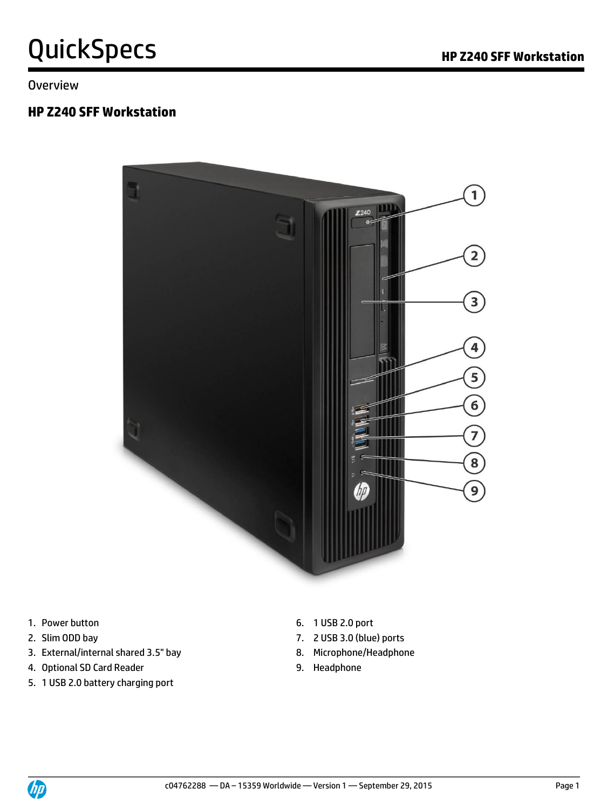## QuickSpecs **Manual Section HP Z240 SFF Workstation**

**Overview** 

#### **HP Z240 SFF Workstation**



- 1. Power button **6. 1 USB 2.0 port**
- 
- 3. External/internal shared 3.5" bay 8. Microphone/Headphone
- 4. Optional SD Card Reader **9. Headphone**
- 5. 1 USB 2.0 battery charging port
- 
- 2. Slim ODD bay 7. 2 USB 3.0 (blue) ports
	-
	-

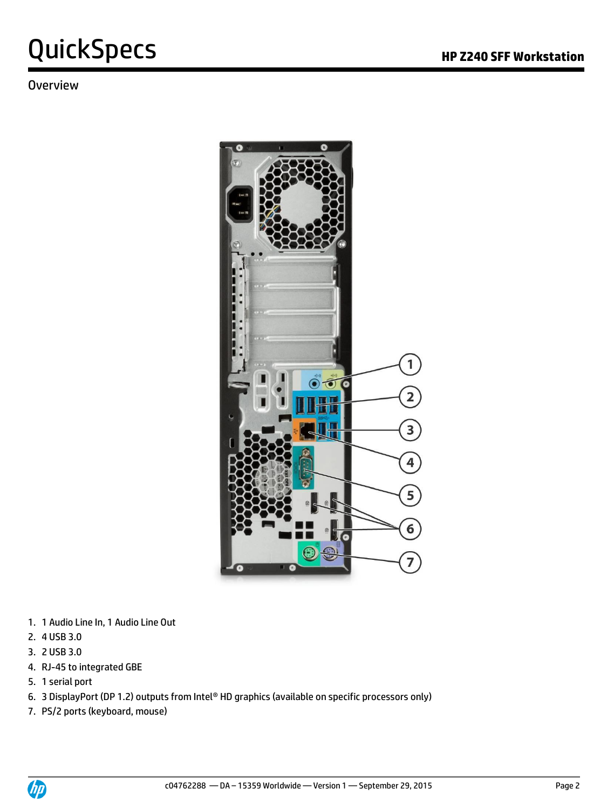#### **Overview**



- 1. 1 Audio Line In, 1 Audio Line Out
- 2. 4 USB 3.0
- 3. 2 USB 3.0
- 4. RJ-45 to integrated GBE
- 5. 1 serial port
- 6. 3 DisplayPort (DP 1.2) outputs from Intel® HD graphics (available on specific processors only)
- 7. PS/2 ports (keyboard, mouse)

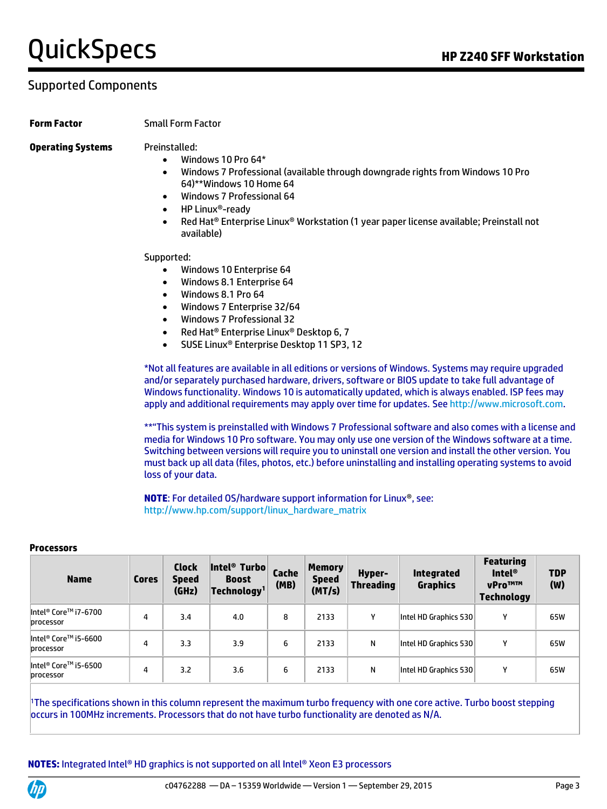#### Supported Components

#### **Form Factor** Small Form Factor

#### **Operating Systems** Preinstalled:

- Windows 10 Pro 64\*
- Windows 7 Professional (available through downgrade rights from Windows 10 Pro 64)\*\*Windows 10 Home 64
- Windows 7 Professional 64
- HP Linux®-ready
- Red Hat® Enterprise Linux® Workstation (1 year paper license available; Preinstall not available)

Supported:

- Windows 10 Enterprise 64
- Windows 8.1 Enterprise 64
- Windows 8.1 Pro 64
- Windows 7 Enterprise 32/64
- Windows 7 Professional 32
- Red Hat® Enterprise Linux® Desktop 6, 7
- SUSE Linux® Enterprise Desktop 11 SP3, 12

\*Not all features are available in all editions or versions of Windows. Systems may require upgraded and/or separately purchased hardware, drivers, software or BIOS update to take full advantage of Windows functionality. Windows 10 is automatically updated, which is always enabled. ISP fees may apply and additional requirements may apply over time for updates. Se[e http://www.microsoft.com.](http://www.microsoft.com/)

\*\*"This system is preinstalled with Windows 7 Professional software and also comes with a license and media for Windows 10 Pro software. You may only use one version of the Windows software at a time. Switching between versions will require you to uninstall one version and install the other version. You must back up all data (files, photos, etc.) before uninstalling and installing operating systems to avoid loss of your data.

**NOTE**: For detailed OS/hardware support information for Linux®, see: [http://www.hp.com/support/linux\\_hardware\\_matrix](http://www.hp.com/support/linux_hardware_matrix)

| <b>Name</b>                       | <b>Cores</b> | <b>Clock</b><br><b>Speed</b><br>(GHz) | Intel <sup>®</sup> Turbo<br><b>Boost</b><br>Technology <sup>1</sup> | Cache<br>(MB) | <b>Memory</b><br><b>Speed</b><br>(MT/s) | <b>Hyper-</b><br><b>Threading</b> | <b>Integrated</b><br><b>Graphics</b> | <b>Featuring</b><br>Intel ${}^{\circ}$<br><b>vProTMTM</b><br><b>Technology</b> | <b>TDP</b><br>(W) |
|-----------------------------------|--------------|---------------------------------------|---------------------------------------------------------------------|---------------|-----------------------------------------|-----------------------------------|--------------------------------------|--------------------------------------------------------------------------------|-------------------|
| Intel® Core™ i7-6700<br>processor | 4            | 3.4                                   | 4.0                                                                 | 8             | 2133                                    |                                   | Intel HD Graphics 530                | v                                                                              | 65W               |
| Intel® Core™ i5-6600<br>processor | 4            | 3.3                                   | 3.9                                                                 | 6             | 2133                                    | N                                 | Intel HD Graphics 530                | v                                                                              | 65W               |
| Intel® Core™ i5-6500<br>processor | 4            | 3.2                                   | 3.6                                                                 | 6             | 2133                                    | N                                 | Intel HD Graphics 530                | v                                                                              | 65W               |

#### **Processors**

<sup>1</sup>The specifications shown in this column represent the maximum turbo frequency with one core active. Turbo boost stepping occurs in 100MHz increments. Processors that do not have turbo functionality are denoted as N/A.



#### **NOTES:** Integrated Intel® HD graphics is not supported on all Intel® Xeon E3 processors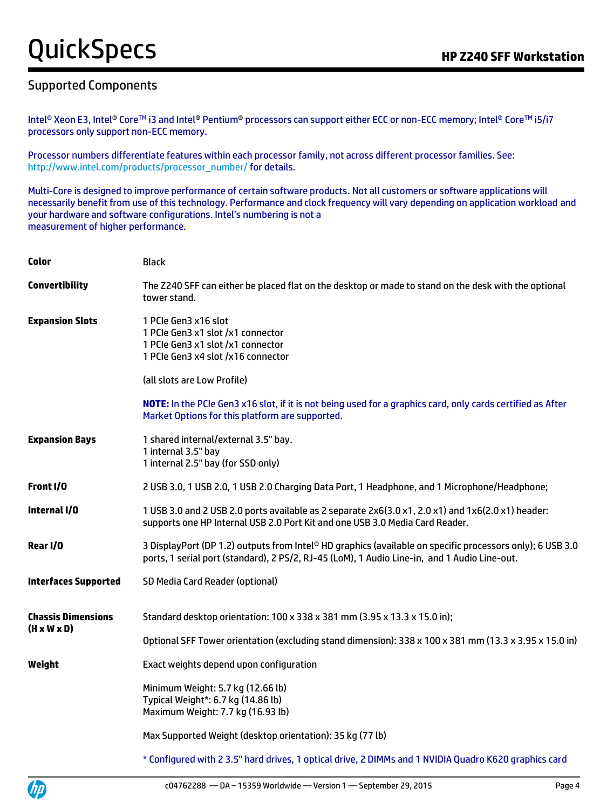#### Supported Components

伽

Intel® Xeon E3, Intel® Core™ i3 and Intel® Pentium® processors can support either ECC or non-ECC memory; Intel® Core™ i5/i7 processors only support non-ECC memory.

Processor numbers differentiate features within each processor family, not across different processor families. See: [http://www.intel.com/products/processor\\_number/](http://www.intel.com/products/processor_number/) for details.

Multi-Core is designed to improve performance of certain software products. Not all customers or software applications will necessarily benefit from use of this technology. Performance and clock frequency will vary depending on application workload and your hardware and software configurations. Intel's numbering is not a measurement of higher performance.

| <b>Black</b>                                                                                                                                                                                              |
|-----------------------------------------------------------------------------------------------------------------------------------------------------------------------------------------------------------|
| The Z240 SFF can either be placed flat on the desktop or made to stand on the desk with the optional<br>tower stand.                                                                                      |
| 1 PCIe Gen3 x16 slot<br>1 PCIe Gen3 x1 slot /x1 connector<br>1 PCIe Gen3 x1 slot /x1 connector<br>1 PCIe Gen3 x4 slot /x16 connector                                                                      |
| (all slots are Low Profile)                                                                                                                                                                               |
| NOTE: In the PCIe Gen3 x16 slot, if it is not being used for a graphics card, only cards certified as After<br>Market Options for this platform are supported.                                            |
| 1 shared internal/external 3.5" bay.<br>1 internal 3.5" bay<br>1 internal 2.5" bay (for SSD only)                                                                                                         |
| 2 USB 3.0, 1 USB 2.0, 1 USB 2.0 Charging Data Port, 1 Headphone, and 1 Microphone/Headphone;                                                                                                              |
| 1 USB 3.0 and 2 USB 2.0 ports available as 2 separate 2x6(3.0 x1, 2.0 x1) and 1x6(2.0 x1) header:<br>supports one HP Internal USB 2.0 Port Kit and one USB 3.0 Media Card Reader.                         |
| 3 DisplayPort (DP 1.2) outputs from Intel® HD graphics (available on specific processors only); 6 USB 3.0<br>ports, 1 serial port (standard), 2 PS/2, RJ-45 (LoM), 1 Audio Line-in, and 1 Audio Line-out. |
| SD Media Card Reader (optional)                                                                                                                                                                           |
| Standard desktop orientation: 100 x 338 x 381 mm (3.95 x 13.3 x 15.0 in);                                                                                                                                 |
| Optional SFF Tower orientation (excluding stand dimension): 338 x 100 x 381 mm (13.3 x 3.95 x 15.0 in)                                                                                                    |
| Exact weights depend upon configuration                                                                                                                                                                   |
| Minimum Weight: 5.7 kg (12.66 lb)<br>Typical Weight*: 6.7 kg (14.86 lb)<br>Maximum Weight: 7.7 kg (16.93 lb)                                                                                              |
| Max Supported Weight (desktop orientation): 35 kg (77 lb)                                                                                                                                                 |
| * Configured with 2 3.5" hard drives, 1 optical drive, 2 DIMMs and 1 NVIDIA Quadro K620 graphics card                                                                                                     |
|                                                                                                                                                                                                           |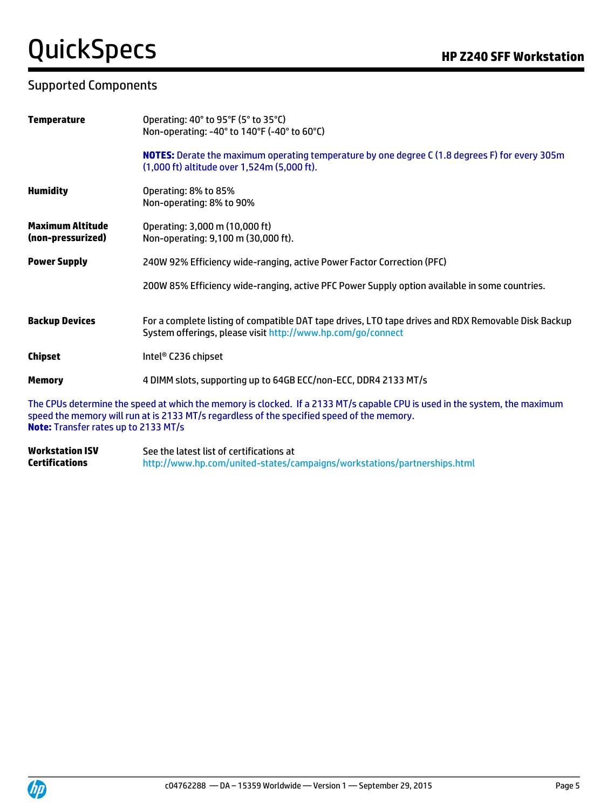# QuickSpecs **Manual Section HP Z240 SFF Workstation**

#### Supported Components

| <b>Temperature</b>                           | Operating: 40° to 95°F (5° to 35°C)<br>Non-operating: -40° to 140°F (-40° to 60°C)                                                                                                                                       |
|----------------------------------------------|--------------------------------------------------------------------------------------------------------------------------------------------------------------------------------------------------------------------------|
|                                              | <b>NOTES:</b> Derate the maximum operating temperature by one degree C (1.8 degrees F) for every 305m<br>(1,000 ft) altitude over 1,524m (5,000 ft).                                                                     |
| <b>Humidity</b>                              | Operating: 8% to 85%<br>Non-operating: 8% to 90%                                                                                                                                                                         |
| <b>Maximum Altitude</b><br>(non-pressurized) | Operating: 3,000 m (10,000 ft)<br>Non-operating: 9,100 m (30,000 ft).                                                                                                                                                    |
| <b>Power Supply</b>                          | 240W 92% Efficiency wide-ranging, active Power Factor Correction (PFC)                                                                                                                                                   |
|                                              | 200W 85% Efficiency wide-ranging, active PFC Power Supply option available in some countries.                                                                                                                            |
| <b>Backup Devices</b>                        | For a complete listing of compatible DAT tape drives, LTO tape drives and RDX Removable Disk Backup<br>System offerings, please visit http://www.hp.com/go/connect                                                       |
| <b>Chipset</b>                               | Intel <sup>®</sup> C236 chipset                                                                                                                                                                                          |
| <b>Memory</b>                                | 4 DIMM slots, supporting up to 64GB ECC/non-ECC, DDR4 2133 MT/s                                                                                                                                                          |
| <b>Note:</b> Transfer rates up to 2133 MT/s  | The CPUs determine the speed at which the memory is clocked. If a 2133 MT/s capable CPU is used in the system, the maximum<br>speed the memory will run at is 2133 MT/s regardless of the specified speed of the memory. |

**Workstation ISV Certifications** See the latest list of certifications at <http://www.hp.com/united-states/campaigns/workstations/partnerships.html>

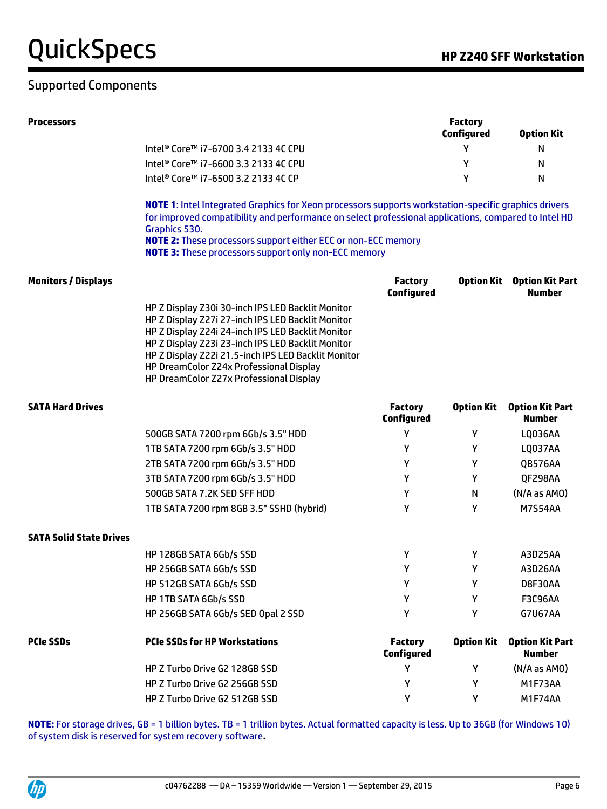## QuickSpecs and the control of the CuickSpecs of the CuickSpecs of the CuickSpecs of the CuickSpecs of the Cuick

### Supported Components

| <b>Processors</b>              |                                                                                                                                                                                                                                                                                                                                                                      |                                     | <b>Factory</b><br><b>Configured</b> | <b>Option Kit</b>                       |
|--------------------------------|----------------------------------------------------------------------------------------------------------------------------------------------------------------------------------------------------------------------------------------------------------------------------------------------------------------------------------------------------------------------|-------------------------------------|-------------------------------------|-----------------------------------------|
|                                | Intel <sup>®</sup> Core™ i7-6700 3.4 2133 4C CPU                                                                                                                                                                                                                                                                                                                     |                                     | Υ                                   | N                                       |
|                                | Intel <sup>®</sup> Core™ i7-6600 3.3 2133 4C CPU                                                                                                                                                                                                                                                                                                                     |                                     | Υ                                   | N                                       |
|                                | Intel <sup>®</sup> Core™ i7-6500 3.2 2133 4C CP                                                                                                                                                                                                                                                                                                                      |                                     | Υ                                   | N                                       |
|                                | NOTE 1: Intel Integrated Graphics for Xeon processors supports workstation-specific graphics drivers<br>for improved compatibility and performance on select professional applications, compared to Intel HD<br>Graphics 530.<br><b>NOTE 2:</b> These processors support either ECC or non-ECC memory<br><b>NOTE 3:</b> These processors support only non-ECC memory |                                     |                                     |                                         |
| <b>Monitors / Displays</b>     |                                                                                                                                                                                                                                                                                                                                                                      | <b>Factory</b><br><b>Configured</b> | <b>Option Kit</b>                   | <b>Option Kit Part</b><br><b>Number</b> |
|                                | HP Z Display Z30i 30-inch IPS LED Backlit Monitor<br>HP Z Display Z27i 27-inch IPS LED Backlit Monitor<br>HP Z Display Z24i 24-inch IPS LED Backlit Monitor<br>HP Z Display Z23i 23-inch IPS LED Backlit Monitor<br>HP Z Display Z22i 21.5-inch IPS LED Backlit Monitor<br>HP DreamColor Z24x Professional Display<br>HP DreamColor Z27x Professional Display        |                                     |                                     |                                         |
| <b>SATA Hard Drives</b>        |                                                                                                                                                                                                                                                                                                                                                                      | <b>Factory</b><br><b>Configured</b> | <b>Option Kit</b>                   | <b>Option Kit Part</b><br><b>Number</b> |
|                                | 500GB SATA 7200 rpm 6Gb/s 3.5" HDD                                                                                                                                                                                                                                                                                                                                   | Υ                                   | Y                                   | LQ036AA                                 |
|                                | 1TB SATA 7200 rpm 6Gb/s 3.5" HDD                                                                                                                                                                                                                                                                                                                                     | Y                                   | Y                                   | LQ037AA                                 |
|                                | 2TB SATA 7200 rpm 6Gb/s 3.5" HDD                                                                                                                                                                                                                                                                                                                                     | Y                                   | Y                                   | QB576AA                                 |
|                                | 3TB SATA 7200 rpm 6Gb/s 3.5" HDD                                                                                                                                                                                                                                                                                                                                     | Υ                                   | Y                                   | QF298AA                                 |
|                                | 500GB SATA 7.2K SED SFF HDD                                                                                                                                                                                                                                                                                                                                          | Υ                                   | N                                   | $(N/A$ as $AMO)$                        |
|                                | 1TB SATA 7200 rpm 8GB 3.5" SSHD (hybrid)                                                                                                                                                                                                                                                                                                                             | Υ                                   | Υ                                   | <b>M7S54AA</b>                          |
| <b>SATA Solid State Drives</b> |                                                                                                                                                                                                                                                                                                                                                                      |                                     |                                     |                                         |
|                                | HP 128GB SATA 6Gb/s SSD                                                                                                                                                                                                                                                                                                                                              | γ                                   | Y                                   | A3D25AA                                 |
|                                | HP 256GB SATA 6Gb/s SSD                                                                                                                                                                                                                                                                                                                                              | Υ                                   | Y                                   | A3D26AA                                 |
|                                | HP 512GB SATA 6Gb/s SSD                                                                                                                                                                                                                                                                                                                                              | Y                                   | Υ                                   | D8F30AA                                 |
|                                | HP 1TB SATA 6Gb/s SSD                                                                                                                                                                                                                                                                                                                                                | γ                                   | Y                                   | <b>F3C96AA</b>                          |
|                                | HP 256GB SATA 6Gb/s SED Opal 2 SSD                                                                                                                                                                                                                                                                                                                                   | γ                                   | Υ                                   | <b>G7U67AA</b>                          |
| <b>PCIe SSDs</b>               | <b>PCIe SSDs for HP Workstations</b>                                                                                                                                                                                                                                                                                                                                 | <b>Factory</b><br><b>Configured</b> | <b>Option Kit</b>                   | <b>Option Kit Part</b><br><b>Number</b> |
|                                | HP Z Turbo Drive G2 128GB SSD                                                                                                                                                                                                                                                                                                                                        | Y                                   | Y                                   | (N/A as AMO)                            |

**NOTE:** For storage drives, GB = 1 billion bytes. TB = 1 trillion bytes. Actual formatted capacity is less. Up to 36GB (for Windows 10) of system disk is reserved for system recovery software**.**

HP Z Turbo Drive G2 256GB SSD Y Y M1F73AA HP Z Turbo Drive G2 512GB SSD X Y Y M1F74AA

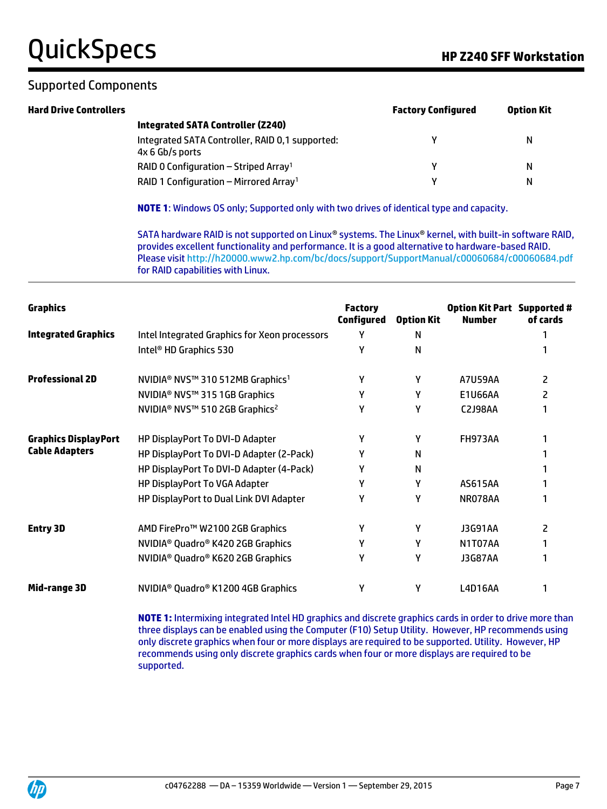# QuickSpecs and the control of the Control of the Z240 SFF Workstation

#### Supported Components

| <b>Hard Drive Controllers</b> |                                                                    | <b>Factory Configured</b> | <b>Option Kit</b> |
|-------------------------------|--------------------------------------------------------------------|---------------------------|-------------------|
|                               | Integrated SATA Controller (Z240)                                  |                           |                   |
|                               | Integrated SATA Controller, RAID 0,1 supported:<br>4x 6 Gb/s ports |                           | N                 |
|                               | RAID 0 Configuration – Striped Array <sup>1</sup>                  |                           | N                 |
|                               | RAID 1 Configuration - Mirrored Array <sup>1</sup>                 |                           | N                 |

**NOTE 1**: Windows OS only; Supported only with two drives of identical type and capacity.

SATA hardware RAID is not supported on Linux® systems. The Linux® kernel, with built-in software RAID, provides excellent functionality and performance. It is a good alternative to hardware-based RAID. Please visi[t http://h20000.www2.hp.com/bc/docs/support/SupportManual/c00060684/c00060684.pdf](http://h20000.www2.hp.com/bc/docs/support/SupportManual/c00060684/c00060684.pdf) for RAID capabilities with Linux.

| <b>Graphics</b>             |                                                            | <b>Factory</b><br><b>Configured</b> | <b>Option Kit</b> | <b>Option Kit Part Supported #</b><br><b>Number</b> | of cards |
|-----------------------------|------------------------------------------------------------|-------------------------------------|-------------------|-----------------------------------------------------|----------|
| <b>Integrated Graphics</b>  | Intel Integrated Graphics for Xeon processors              | γ                                   | N                 |                                                     |          |
|                             | Intel <sup>®</sup> HD Graphics 530                         | γ                                   | N                 |                                                     |          |
| <b>Professional 2D</b>      | NVIDIA <sup>®</sup> NVS™ 310 512MB Graphics <sup>1</sup>   | Υ                                   | γ                 | <b>A7U59AA</b>                                      | 2        |
|                             | NVIDIA <sup>®</sup> NVS™ 315 1GB Graphics                  | Υ                                   | γ                 | E1U66AA                                             | 2        |
|                             | NVIDIA <sup>®</sup> NVS™ 510 2GB Graphics <sup>2</sup>     | γ                                   | γ                 | C2J98AA                                             |          |
| <b>Graphics DisplayPort</b> | HP DisplayPort To DVI-D Adapter                            | γ                                   | γ                 | <b>FH973AA</b>                                      |          |
| <b>Cable Adapters</b>       | HP DisplayPort To DVI-D Adapter (2-Pack)                   | γ                                   | N                 |                                                     |          |
|                             | HP DisplayPort To DVI-D Adapter (4-Pack)                   | γ                                   | N                 |                                                     |          |
|                             | HP DisplayPort To VGA Adapter                              | γ                                   | γ                 | AS615AA                                             |          |
|                             | HP DisplayPort to Dual Link DVI Adapter                    | γ                                   | γ                 | NR078AA                                             |          |
| <b>Entry 3D</b>             | AMD FirePro™ W2100 2GB Graphics                            | γ                                   | γ                 | J3G91AA                                             | 2        |
|                             | NVIDIA <sup>®</sup> Quadro <sup>®</sup> K420 2GB Graphics  | γ                                   | γ                 | N1T07AA                                             |          |
|                             | NVIDIA <sup>®</sup> Quadro <sup>®</sup> K620 2GB Graphics  | γ                                   | Υ                 | J3G87AA                                             |          |
| Mid-range 3D                | NVIDIA <sup>®</sup> Quadro <sup>®</sup> K1200 4GB Graphics | Y                                   | Υ                 | L4D16AA                                             |          |

**NOTE 1:** Intermixing integrated Intel HD graphics and discrete graphics cards in order to drive more than three displays can be enabled using the Computer (F10) Setup Utility. However, HP recommends using only discrete graphics when four or more displays are required to be supported. Utility. However, HP recommends using only discrete graphics cards when four or more displays are required to be supported.

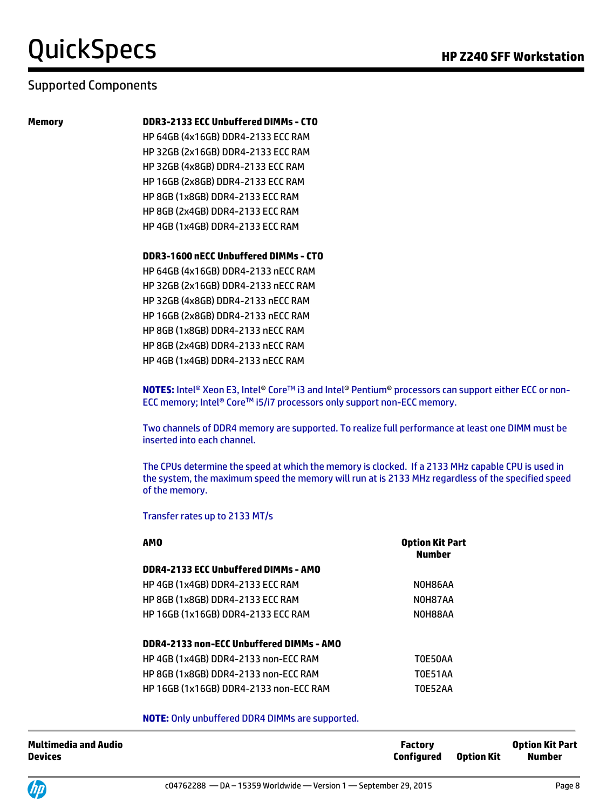#### Supported Components

#### **Memory DDR3-2133 ECC Unbuffered DIMMs - CTO**

HP 64GB (4x16GB) DDR4-2133 ECC RAM HP 32GB (2x16GB) DDR4-2133 ECC RAM HP 32GB (4x8GB) DDR4-2133 ECC RAM HP 16GB (2x8GB) DDR4-2133 ECC RAM HP 8GB (1x8GB) DDR4-2133 ECC RAM HP 8GB (2x4GB) DDR4-2133 ECC RAM HP 4GB (1x4GB) DDR4-2133 ECC RAM

#### **DDR3-1600 nECC Unbuffered DIMMs - CTO**

HP 64GB (4x16GB) DDR4-2133 nECC RAM HP 32GB (2x16GB) DDR4-2133 nECC RAM HP 32GB (4x8GB) DDR4-2133 nECC RAM HP 16GB (2x8GB) DDR4-2133 nECC RAM HP 8GB (1x8GB) DDR4-2133 nECC RAM HP 8GB (2x4GB) DDR4-2133 nECC RAM HP 4GB (1x4GB) DDR4-2133 nECC RAM

**NOTES:** Intel® Xeon E3, Intel® Core™ i3 and Intel® Pentium® processors can support either ECC or non-ECC memory; Intel® Core™ i5/i7 processors only support non-ECC memory.

Two channels of DDR4 memory are supported. To realize full performance at least one DIMM must be inserted into each channel.

The CPUs determine the speed at which the memory is clocked. If a 2133 MHz capable CPU is used in the system, the maximum speed the memory will run at is 2133 MHz regardless of the specified speed of the memory.

Transfer rates up to 2133 MT/s

| <b>AMO</b>                                  | <b>Option Kit Part</b><br><b>Number</b> |
|---------------------------------------------|-----------------------------------------|
| DDR4-2133 ECC Unbuffered DIMMs - AMO        |                                         |
| <b>HP 4GB (1x4GB) DDR4-2133 ECC RAM</b>     | NOH86AA                                 |
| <b>HP 8GB (1x8GB) DDR4-2133 ECC RAM</b>     | NOH87AA                                 |
| <b>HP 16GB (1x16GB) DDR4-2133 ECC RAM</b>   | NOH88AA                                 |
| DDR4-2133 non-ECC Unbuffered DIMMs - AMO    |                                         |
| <b>HP 4GB (1x4GB) DDR4-2133 non-ECC RAM</b> | T0E50AA                                 |
| HP 8GB (1x8GB) DDR4-2133 non-ECC RAM        | <b>TOE51AA</b>                          |
| HP 16GB (1x16GB) DDR4-2133 non-ECC RAM      | TOE52AA                                 |

**NOTE:** Only unbuffered DDR4 DIMMs are supported.

| Multimedia and Audio | <b>Factory</b>               | <b>Option Kit Part</b> |
|----------------------|------------------------------|------------------------|
| Devices              | <b>Configured</b> Option Kit | <b>Number</b>          |
|                      |                              |                        |

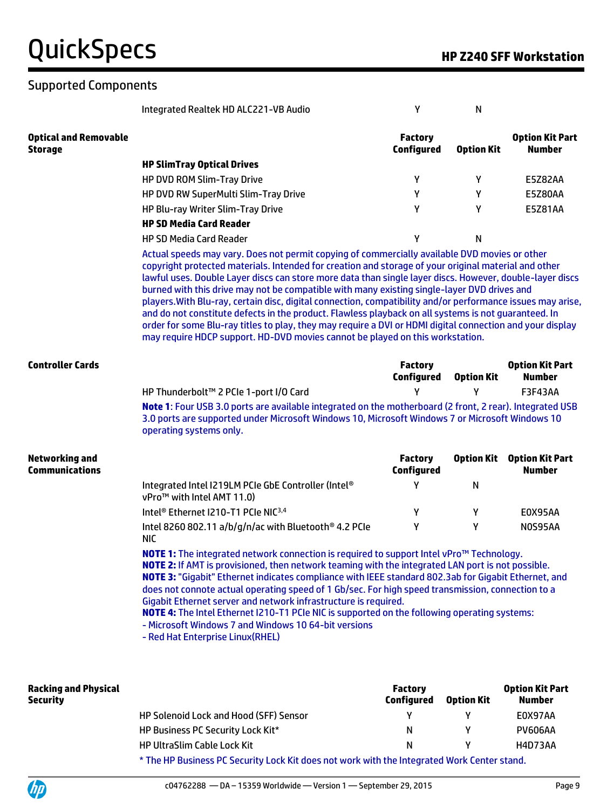#### Supported Components

Integrated Realtek HD ALC221-VB Audio Y N

**Optical and Removable Storage Factory Configured Option Kit Option Kit Part Number HP SlimTray Optical Drives** HP DVD ROM Slim-Tray Drive Y Y E5Z82AA HP DVD RW SuperMulti Slim-Tray Drive Y Y E5Z80AA HP Blu-ray Writer Slim-Tray Drive V X X Y Y E5Z81AA **HP SD Media Card Reader** HP SD Media Card Reader Y N

> Actual speeds may vary. Does not permit copying of commercially available DVD movies or other copyright protected materials. Intended for creation and storage of your original material and other lawful uses. Double Layer discs can store more data than single layer discs. However, double-layer discs burned with this drive may not be compatible with many existing single-layer DVD drives and players.With Blu-ray, certain disc, digital connection, compatibility and/or performance issues may arise, and do not constitute defects in the product. Flawless playback on all systems is not guaranteed. In order for some Blu-ray titles to play, they may require a DVI or HDMI digital connection and your display may require HDCP support. HD-DVD movies cannot be played on this workstation.

| <b>Controller Cards</b>                        |                                                                                                                                                                                                                                                                                                              | <b>Factory</b><br>Configured | <b>Option Kit</b> | <b>Option Kit Part</b><br>Number        |  |  |  |
|------------------------------------------------|--------------------------------------------------------------------------------------------------------------------------------------------------------------------------------------------------------------------------------------------------------------------------------------------------------------|------------------------------|-------------------|-----------------------------------------|--|--|--|
|                                                | HP Thunderbolt™ 2 PCIe 1-port I/O Card                                                                                                                                                                                                                                                                       |                              |                   | <b>F3F43AA</b>                          |  |  |  |
|                                                | Note 1: Four USB 3.0 ports are available integrated on the motherboard (2 front, 2 rear). Integrated USB<br>3.0 ports are supported under Microsoft Windows 10, Microsoft Windows 7 or Microsoft Windows 10<br>operating systems only.                                                                       |                              |                   |                                         |  |  |  |
| <b>Networking and</b><br><b>Communications</b> |                                                                                                                                                                                                                                                                                                              | <b>Factory</b><br>Configured | <b>Option Kit</b> | <b>Option Kit Part</b><br><b>Number</b> |  |  |  |
|                                                | Integrated Intel I219LM PCIe GbE Controller (Intel®<br>vPro <sup>™</sup> with Intel AMT 11.0)                                                                                                                                                                                                                | γ                            | N                 |                                         |  |  |  |
|                                                | Intel <sup>®</sup> Ethernet I210-T1 PCIe NIC <sup>3,4</sup>                                                                                                                                                                                                                                                  | Υ                            | Υ                 | E0X95AA                                 |  |  |  |
|                                                | Intel 8260 802.11 a/b/g/n/ac with Bluetooth <sup>®</sup> 4.2 PCIe<br><b>NIC</b>                                                                                                                                                                                                                              | Υ                            | Υ                 | NOS95AA                                 |  |  |  |
|                                                | NOTE 1: The integrated network connection is required to support Intel vPro™ Technology.<br><b>NOTE 2:</b> If AMT is provisioned, then network teaming with the integrated LAN port is not possible.<br>NOTE 3: "Gigabit" Ethernet indicates compliance with IEEE standard 802.3ab for Gigabit Ethernet, and |                              |                   |                                         |  |  |  |

does not connote actual operating speed of 1 Gb/sec. For high speed transmission, connection to a Gigabit Ethernet server and network infrastructure is required.

**NOTE 4:** The Intel Ethernet I210-T1 PCIe NIC is supported on the following operating systems: - Microsoft Windows 7 and Windows 10 64-bit versions

- Red Hat Enterprise Linux(RHEL)

| <b>Racking and Physical</b><br><b>Security</b> |                                                                                                   | <b>Factory</b><br><b>Configured</b> | <b>Option Kit</b> | <b>Option Kit Part</b><br>Number |
|------------------------------------------------|---------------------------------------------------------------------------------------------------|-------------------------------------|-------------------|----------------------------------|
|                                                | <b>HP Solenoid Lock and Hood (SFF) Sensor</b>                                                     |                                     |                   | E0X97AA                          |
|                                                | <b>HP Business PC Security Lock Kit*</b>                                                          | N                                   |                   | <b>PV606AA</b>                   |
|                                                | <b>HP UltraSlim Cable Lock Kit</b>                                                                | N                                   |                   | H4D73AA                          |
|                                                | 4 The HD Diretorse DC Committed and Wardens and committed the International Highli Control double |                                     |                   |                                  |

The HP Business PC Security Lock Kit does not work with the Integrated Work Center stand.

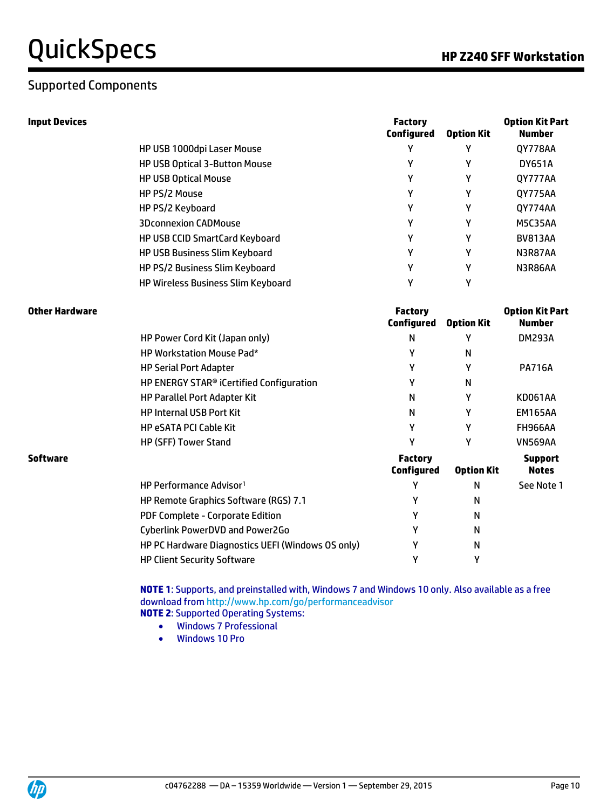#### Supported Components

| Input Devices |                                           | <b>Factory</b><br><b>Configured</b> | <b>Option Kit</b> | <b>Option Kit Part</b><br><b>Number</b> |
|---------------|-------------------------------------------|-------------------------------------|-------------------|-----------------------------------------|
|               | HP USB 1000dpi Laser Mouse                | Υ                                   | Υ                 | <b>QY778AA</b>                          |
|               | <b>HP USB Optical 3-Button Mouse</b>      | γ                                   | γ                 | <b>DY651A</b>                           |
|               | <b>HP USB Optical Mouse</b>               | γ                                   | γ                 | 0Y777AA                                 |
|               | HP PS/2 Mouse                             | γ                                   | γ                 | 0Y775AA                                 |
|               | HP PS/2 Keyboard                          | Υ                                   | γ                 | 0Y774AA                                 |
|               | <b>3Dconnexion CADMouse</b>               | γ                                   | γ                 | <b>M5C35AA</b>                          |
|               | <b>HP USB CCID SmartCard Keyboard</b>     | Υ                                   | γ                 | <b>BV813AA</b>                          |
|               | <b>HP USB Business Slim Keyboard</b>      | γ                                   | γ                 | N3R87AA                                 |
|               | HP PS/2 Business Slim Keyboard            | γ                                   | γ                 | N3R86AA                                 |
|               | <b>HP Wireless Business Slim Keyboard</b> | Υ                                   | γ                 |                                         |

| Other Hardware |                                                      | <b>Factory</b><br>Configured        | <b>Option Kit</b> | <b>Option Kit Part</b><br>Number |
|----------------|------------------------------------------------------|-------------------------------------|-------------------|----------------------------------|
|                | HP Power Cord Kit (Japan only)                       | N                                   | γ                 | <b>DM293A</b>                    |
|                | <b>HP Workstation Mouse Pad*</b>                     | γ                                   | N                 |                                  |
|                | <b>HP Serial Port Adapter</b>                        | γ                                   | γ                 | <b>PA716A</b>                    |
|                | HP ENERGY STAR <sup>®</sup> iCertified Configuration | γ                                   | N                 |                                  |
|                | HP Parallel Port Adapter Kit                         | N                                   | γ                 | KD061AA                          |
|                | <b>HP Internal USB Port Kit</b>                      | N                                   | γ                 | <b>EM165AA</b>                   |
|                | <b>HP eSATA PCI Cable Kit</b>                        | ٧                                   | γ                 | FH966AA                          |
|                | <b>HP (SFF) Tower Stand</b>                          | v                                   | γ                 | <b>VN569AA</b>                   |
| Software       |                                                      | <b>Factory</b><br><b>Configured</b> | <b>Option Kit</b> | <b>Support</b><br><b>Notes</b>   |
|                | HP Performance Advisor <sup>1</sup>                  |                                     | N                 | See Note 1                       |
|                | HP Remote Graphics Software (RGS) 7.1                |                                     | N                 |                                  |
|                | PDF Complete - Corporate Edition                     |                                     | N                 |                                  |
|                | Cyberlink PowerDVD and Power2Go                      |                                     | N                 |                                  |
|                | HP PC Hardware Diagnostics UEFI (Windows OS only)    |                                     | N                 |                                  |
|                | <b>HP Client Security Software</b>                   |                                     | γ                 |                                  |

**NOTE 1**: Supports, and preinstalled with, Windows 7 and Windows 10 only. Also available as a free download from http://www.hp.com/go/performanceadvisor **NOTE 2**: Supported Operating Systems:

- Windows 7 Professional
- Windows 10 Pro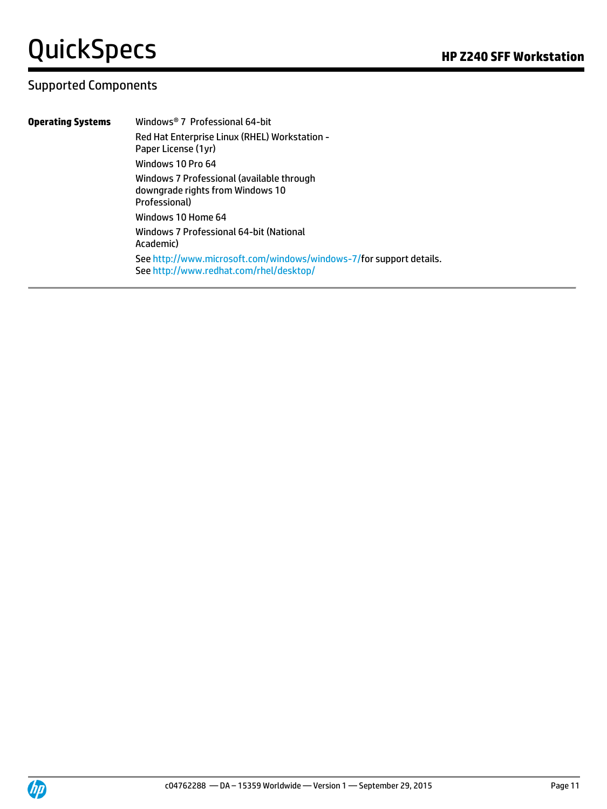#### Supported Components

**Operating Systems** Windows® 7 Professional 64-bit Red Hat Enterprise Linux (RHEL) Workstation - Paper License (1yr) Windows 10 Pro 64 Windows 7 Professional (available through downgrade rights from Windows 10 Professional) Windows 10 Home 64 Windows 7 Professional 64-bit (National Academic) Se[e http://www.microsoft.com/windows/windows-7/f](http://www.microsoft.com/windows/windows-7/)or support details. Se[e http://www.redhat.com/rhel/desktop/](http://www.redhat.com/rhel/desktop/)

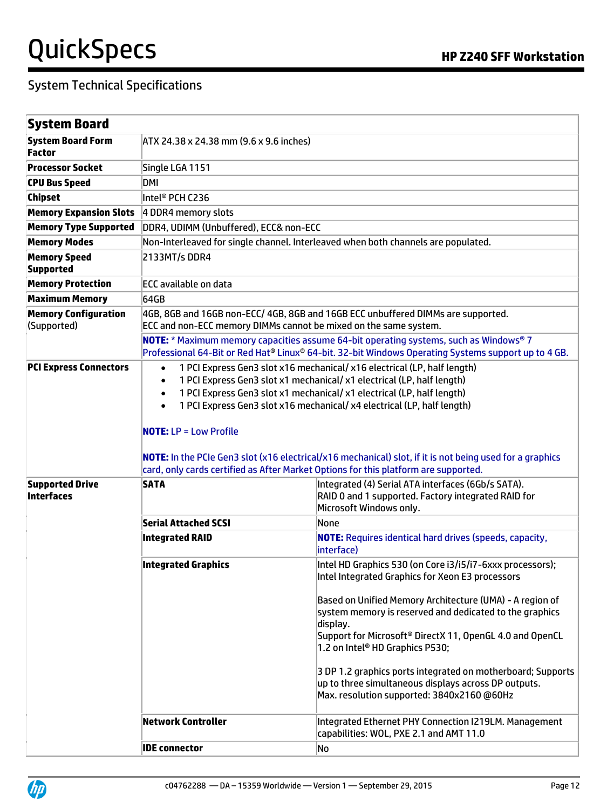| <b>System Board</b>                         |                                                                                                                                                                                                                                                                                                                                                                                                                                                                                                                                                                                    |                                                                                                                                                                                                                                                                                                                                                                                                                                                                                                                      |  |  |
|---------------------------------------------|------------------------------------------------------------------------------------------------------------------------------------------------------------------------------------------------------------------------------------------------------------------------------------------------------------------------------------------------------------------------------------------------------------------------------------------------------------------------------------------------------------------------------------------------------------------------------------|----------------------------------------------------------------------------------------------------------------------------------------------------------------------------------------------------------------------------------------------------------------------------------------------------------------------------------------------------------------------------------------------------------------------------------------------------------------------------------------------------------------------|--|--|
| <b>System Board Form</b><br><b>Factor</b>   | ATX 24.38 x 24.38 mm (9.6 x 9.6 inches)                                                                                                                                                                                                                                                                                                                                                                                                                                                                                                                                            |                                                                                                                                                                                                                                                                                                                                                                                                                                                                                                                      |  |  |
| <b>Processor Socket</b>                     | Single LGA 1151                                                                                                                                                                                                                                                                                                                                                                                                                                                                                                                                                                    |                                                                                                                                                                                                                                                                                                                                                                                                                                                                                                                      |  |  |
| <b>CPU Bus Speed</b>                        | DMI                                                                                                                                                                                                                                                                                                                                                                                                                                                                                                                                                                                |                                                                                                                                                                                                                                                                                                                                                                                                                                                                                                                      |  |  |
| <b>Chipset</b>                              | Intel® PCH C236                                                                                                                                                                                                                                                                                                                                                                                                                                                                                                                                                                    |                                                                                                                                                                                                                                                                                                                                                                                                                                                                                                                      |  |  |
| <b>Memory Expansion Slots</b>               | 4 DDR4 memory slots                                                                                                                                                                                                                                                                                                                                                                                                                                                                                                                                                                |                                                                                                                                                                                                                                                                                                                                                                                                                                                                                                                      |  |  |
| <b>Memory Type Supported</b>                | DDR4, UDIMM (Unbuffered), ECC& non-ECC                                                                                                                                                                                                                                                                                                                                                                                                                                                                                                                                             |                                                                                                                                                                                                                                                                                                                                                                                                                                                                                                                      |  |  |
| <b>Memory Modes</b>                         |                                                                                                                                                                                                                                                                                                                                                                                                                                                                                                                                                                                    | Non-Interleaved for single channel. Interleaved when both channels are populated.                                                                                                                                                                                                                                                                                                                                                                                                                                    |  |  |
| <b>Memory Speed</b><br><b>Supported</b>     | 2133MT/s DDR4                                                                                                                                                                                                                                                                                                                                                                                                                                                                                                                                                                      |                                                                                                                                                                                                                                                                                                                                                                                                                                                                                                                      |  |  |
| <b>Memory Protection</b>                    | <b>ECC available on data</b>                                                                                                                                                                                                                                                                                                                                                                                                                                                                                                                                                       |                                                                                                                                                                                                                                                                                                                                                                                                                                                                                                                      |  |  |
| <b>Maximum Memory</b>                       | 64GB                                                                                                                                                                                                                                                                                                                                                                                                                                                                                                                                                                               |                                                                                                                                                                                                                                                                                                                                                                                                                                                                                                                      |  |  |
| <b>Memory Configuration</b><br>(Supported)  | 4GB, 8GB and 16GB non-ECC/ 4GB, 8GB and 16GB ECC unbuffered DIMMs are supported.<br>ECC and non-ECC memory DIMMs cannot be mixed on the same system.                                                                                                                                                                                                                                                                                                                                                                                                                               |                                                                                                                                                                                                                                                                                                                                                                                                                                                                                                                      |  |  |
|                                             | NOTE: * Maximum memory capacities assume 64-bit operating systems, such as Windows® 7<br>Professional 64-Bit or Red Hat® Linux® 64-bit. 32-bit Windows Operating Systems support up to 4 GB.                                                                                                                                                                                                                                                                                                                                                                                       |                                                                                                                                                                                                                                                                                                                                                                                                                                                                                                                      |  |  |
| <b>PCI Express Connectors</b>               | 1 PCI Express Gen3 slot x16 mechanical/ x16 electrical (LP, half length)<br>$\bullet$<br>1 PCI Express Gen3 slot x1 mechanical/ x1 electrical (LP, half length)<br>$\bullet$<br>1 PCI Express Gen3 slot x1 mechanical/ x1 electrical (LP, half length)<br>$\bullet$<br>1 PCI Express Gen3 slot x16 mechanical/ x4 electrical (LP, half length)<br><b>NOTE: LP = Low Profile</b><br>NOTE: In the PCIe Gen3 slot (x16 electrical/x16 mechanical) slot, if it is not being used for a graphics<br>card, only cards certified as After Market Options for this platform are supported. |                                                                                                                                                                                                                                                                                                                                                                                                                                                                                                                      |  |  |
| <b>Supported Drive</b><br><b>Interfaces</b> | <b>SATA</b>                                                                                                                                                                                                                                                                                                                                                                                                                                                                                                                                                                        | Integrated (4) Serial ATA interfaces (6Gb/s SATA).<br>RAID 0 and 1 supported. Factory integrated RAID for<br>Microsoft Windows only.                                                                                                                                                                                                                                                                                                                                                                                 |  |  |
|                                             | <b>Serial Attached SCSI</b>                                                                                                                                                                                                                                                                                                                                                                                                                                                                                                                                                        | None                                                                                                                                                                                                                                                                                                                                                                                                                                                                                                                 |  |  |
|                                             | <b>Integrated RAID</b>                                                                                                                                                                                                                                                                                                                                                                                                                                                                                                                                                             | <b>NOTE:</b> Requires identical hard drives (speeds, capacity,<br>interface)                                                                                                                                                                                                                                                                                                                                                                                                                                         |  |  |
|                                             | <b>Integrated Graphics</b>                                                                                                                                                                                                                                                                                                                                                                                                                                                                                                                                                         | Intel HD Graphics 530 (on Core i3/i5/i7-6xxx processors);<br>Intel Integrated Graphics for Xeon E3 processors<br>Based on Unified Memory Architecture (UMA) - A region of<br>system memory is reserved and dedicated to the graphics<br>display.<br>Support for Microsoft® DirectX 11, OpenGL 4.0 and OpenCL<br>1.2 on Intel® HD Graphics P530;<br>3 DP 1.2 graphics ports integrated on motherboard; Supports<br>up to three simultaneous displays across DP outputs.<br>Max. resolution supported: 3840x2160 @60Hz |  |  |
|                                             | <b>Network Controller</b>                                                                                                                                                                                                                                                                                                                                                                                                                                                                                                                                                          | Integrated Ethernet PHY Connection I219LM. Management<br>capabilities: WOL, PXE 2.1 and AMT 11.0                                                                                                                                                                                                                                                                                                                                                                                                                     |  |  |
|                                             | <b>IDE</b> connector<br>No                                                                                                                                                                                                                                                                                                                                                                                                                                                                                                                                                         |                                                                                                                                                                                                                                                                                                                                                                                                                                                                                                                      |  |  |

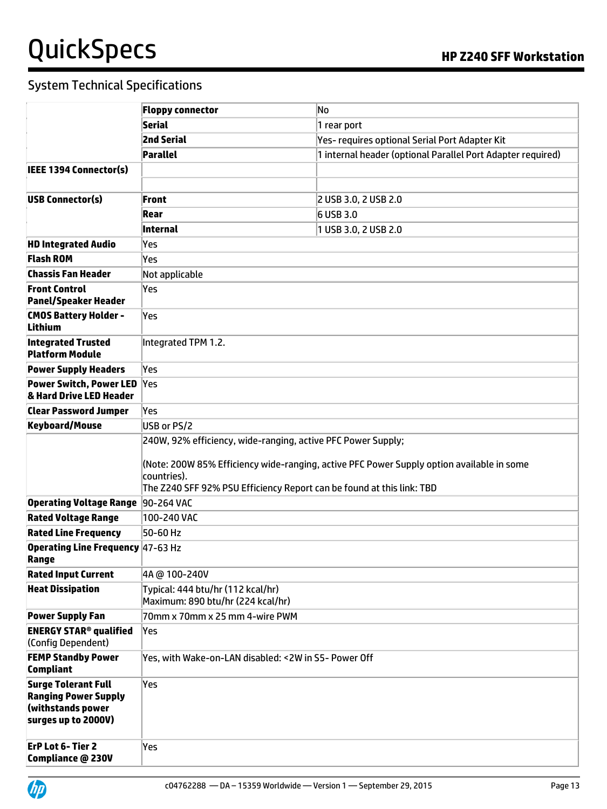|                                                                                                       | <b>Floppy connector</b>                                                                                                                                                                                                                           | No                                                          |  |  |
|-------------------------------------------------------------------------------------------------------|---------------------------------------------------------------------------------------------------------------------------------------------------------------------------------------------------------------------------------------------------|-------------------------------------------------------------|--|--|
|                                                                                                       | Serial                                                                                                                                                                                                                                            | 1 rear port                                                 |  |  |
|                                                                                                       | <b>2nd Serial</b>                                                                                                                                                                                                                                 | Yes- requires optional Serial Port Adapter Kit              |  |  |
|                                                                                                       | Parallel                                                                                                                                                                                                                                          | 1 internal header (optional Parallel Port Adapter required) |  |  |
| <b>IEEE 1394 Connector(s)</b>                                                                         |                                                                                                                                                                                                                                                   |                                                             |  |  |
|                                                                                                       |                                                                                                                                                                                                                                                   |                                                             |  |  |
| USB Connector(s)                                                                                      | <b>Front</b>                                                                                                                                                                                                                                      | 2 USB 3.0, 2 USB 2.0                                        |  |  |
|                                                                                                       | Rear                                                                                                                                                                                                                                              | 6 USB 3.0                                                   |  |  |
|                                                                                                       | Internal                                                                                                                                                                                                                                          | 1 USB 3.0, 2 USB 2.0                                        |  |  |
| <b>HD Integrated Audio</b>                                                                            | Yes                                                                                                                                                                                                                                               |                                                             |  |  |
| <b>Flash ROM</b>                                                                                      | Yes                                                                                                                                                                                                                                               |                                                             |  |  |
| <b>Chassis Fan Header</b>                                                                             | Not applicable                                                                                                                                                                                                                                    |                                                             |  |  |
| <b>Front Control</b>                                                                                  | Yes                                                                                                                                                                                                                                               |                                                             |  |  |
| <b>Panel/Speaker Header</b>                                                                           |                                                                                                                                                                                                                                                   |                                                             |  |  |
| <b>CMOS Battery Holder -</b><br><b>Lithium</b>                                                        | Yes                                                                                                                                                                                                                                               |                                                             |  |  |
| <b>Integrated Trusted</b><br><b>Platform Module</b>                                                   | Integrated TPM 1.2.                                                                                                                                                                                                                               |                                                             |  |  |
| <b>Power Supply Headers</b>                                                                           | Yes                                                                                                                                                                                                                                               |                                                             |  |  |
| <b>Power Switch, Power LED</b><br>& Hard Drive LED Header                                             | Yes                                                                                                                                                                                                                                               |                                                             |  |  |
| <b>Clear Password Jumper</b>                                                                          | Yes                                                                                                                                                                                                                                               |                                                             |  |  |
| <b>Keyboard/Mouse</b>                                                                                 | USB or PS/2                                                                                                                                                                                                                                       |                                                             |  |  |
|                                                                                                       | 240W, 92% efficiency, wide-ranging, active PFC Power Supply;<br>(Note: 200W 85% Efficiency wide-ranging, active PFC Power Supply option available in some<br>countries).<br>The Z240 SFF 92% PSU Efficiency Report can be found at this link: TBD |                                                             |  |  |
| Operating Voltage Range 90-264 VAC                                                                    |                                                                                                                                                                                                                                                   |                                                             |  |  |
| <b>Rated Voltage Range</b>                                                                            | 100-240 VAC                                                                                                                                                                                                                                       |                                                             |  |  |
| <b>Rated Line Frequency</b>                                                                           | 50-60 Hz                                                                                                                                                                                                                                          |                                                             |  |  |
| <b>Operating Line Frequency 47-63 Hz</b><br>Range                                                     |                                                                                                                                                                                                                                                   |                                                             |  |  |
| <b>Rated Input Current</b>                                                                            | 4A @ 100-240V                                                                                                                                                                                                                                     |                                                             |  |  |
| <b>Heat Dissipation</b>                                                                               | Typical: 444 btu/hr (112 kcal/hr)<br>Maximum: 890 btu/hr (224 kcal/hr)                                                                                                                                                                            |                                                             |  |  |
| <b>Power Supply Fan</b>                                                                               | 70mm x 70mm x 25 mm 4-wire PWM                                                                                                                                                                                                                    |                                                             |  |  |
| <b>ENERGY STAR<sup>®</sup> qualified</b><br>(Config Dependent)                                        | Yes                                                                                                                                                                                                                                               |                                                             |  |  |
| <b>FEMP Standby Power</b><br><b>Compliant</b>                                                         | Yes, with Wake-on-LAN disabled: < 2W in S5- Power Off                                                                                                                                                                                             |                                                             |  |  |
| <b>Surge Tolerant Full</b><br><b>Ranging Power Supply</b><br>(withstands power<br>surges up to 2000V) | Yes                                                                                                                                                                                                                                               |                                                             |  |  |
| <b>ErP Lot 6-Tier 2</b><br>Compliance @ 230V                                                          | Yes                                                                                                                                                                                                                                               |                                                             |  |  |

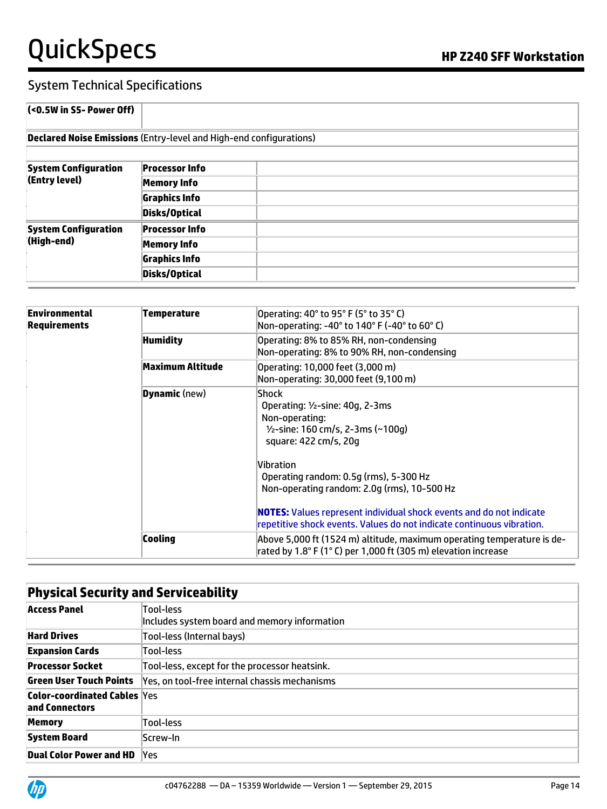# QuickSpecs **Manual Section HP Z240 SFF Workstation**

| $\left($ <0.5W in S5- Power Off)                                          |                       |  |
|---------------------------------------------------------------------------|-----------------------|--|
| <b>Declared Noise Emissions (Entry-level and High-end configurations)</b> |                       |  |
|                                                                           |                       |  |
| <b>System Configuration</b>                                               | <b>Processor Info</b> |  |
| (Entry level)                                                             | <b>Memory Info</b>    |  |
|                                                                           | <b>Graphics Info</b>  |  |
|                                                                           | Disks/Optical         |  |
| <b>System Configuration</b><br>(High-end)                                 | <b>Processor Info</b> |  |
|                                                                           | <b>Memory Info</b>    |  |
|                                                                           | <b>Graphics Info</b>  |  |
|                                                                           | Disks/Optical         |  |

| Environmental<br><b>Requirements</b> | Temperature          | Operating: 40° to 95° F (5° to 35° C)<br>Non-operating: -40° to 140° F (-40° to 60° C)                                                                                                                                                                                                                                                                                                      |  |  |
|--------------------------------------|----------------------|---------------------------------------------------------------------------------------------------------------------------------------------------------------------------------------------------------------------------------------------------------------------------------------------------------------------------------------------------------------------------------------------|--|--|
|                                      | <b>Humidity</b>      | Operating: 8% to 85% RH, non-condensing<br>Non-operating: 8% to 90% RH, non-condensing                                                                                                                                                                                                                                                                                                      |  |  |
|                                      | Maximum Altitude     | Operating: 10,000 feet (3,000 m)<br>Non-operating: 30,000 feet (9,100 m)                                                                                                                                                                                                                                                                                                                    |  |  |
|                                      | <b>Dynamic</b> (new) | Shock<br>Operating: $1/2$ -sine: 40g, 2-3ms<br>Non-operating:<br>$1/2$ -sine: 160 cm/s, 2-3ms (~100q)<br>square: 422 cm/s, 20q<br>Vibration<br>Operating random: 0.5g (rms), 5-300 Hz<br>Non-operating random: 2.0g (rms), 10-500 Hz<br><b>NOTES:</b> Values represent individual shock events and do not indicate<br>repetitive shock events. Values do not indicate continuous vibration. |  |  |
|                                      | Cooling              | Above 5,000 ft (1524 m) altitude, maximum operating temperature is de-<br>rated by 1.8° F (1° C) per 1,000 ft (305 m) elevation increase                                                                                                                                                                                                                                                    |  |  |

| <b>Physical Security and Serviceability</b>           |                                                           |  |
|-------------------------------------------------------|-----------------------------------------------------------|--|
| <b>Access Panel</b>                                   | Tool-less<br>Includes system board and memory information |  |
| <b>Hard Drives</b>                                    | Tool-less (Internal bays)                                 |  |
| <b>Expansion Cards</b>                                | Tool-less                                                 |  |
| <b>Processor Socket</b>                               | Tool-less, except for the processor heatsink.             |  |
| Green User Touch Points                               | Yes, on tool-free internal chassis mechanisms             |  |
| <b>Color-coordinated Cables Yes</b><br>and Connectors |                                                           |  |
| <b>Memory</b>                                         | Tool-less                                                 |  |
| <b>System Board</b>                                   | Screw-In                                                  |  |
| <b>Dual Color Power and HD</b>                        | Yes                                                       |  |

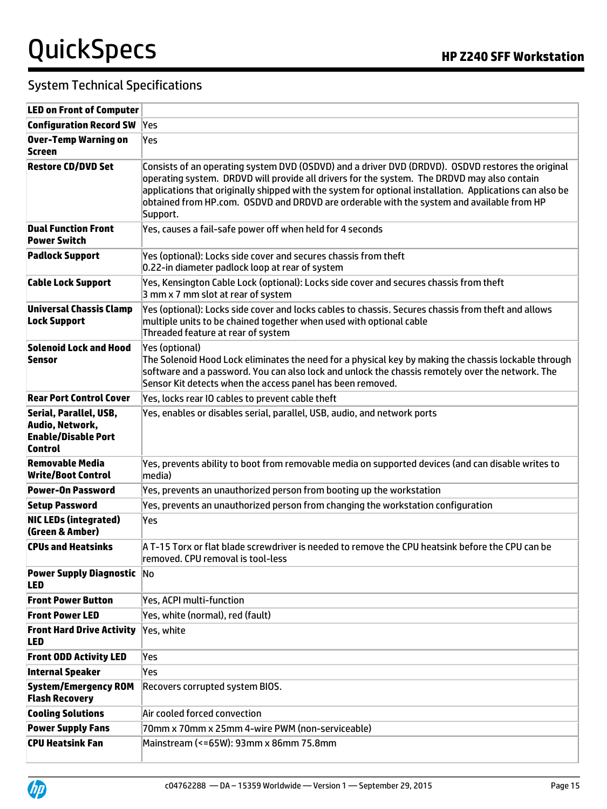| <b>LED on Front of Computer</b>                                                           |                                                                                                                                                                                                                                                                                                                                                                                                                       |
|-------------------------------------------------------------------------------------------|-----------------------------------------------------------------------------------------------------------------------------------------------------------------------------------------------------------------------------------------------------------------------------------------------------------------------------------------------------------------------------------------------------------------------|
| <b>Configuration Record SW</b>                                                            | <b>Yes</b>                                                                                                                                                                                                                                                                                                                                                                                                            |
| <b>Over-Temp Warning on</b><br>Screen                                                     | Yes                                                                                                                                                                                                                                                                                                                                                                                                                   |
| <b>Restore CD/DVD Set</b>                                                                 | Consists of an operating system DVD (OSDVD) and a driver DVD (DRDVD). OSDVD restores the original<br>operating system. DRDVD will provide all drivers for the system. The DRDVD may also contain<br>applications that originally shipped with the system for optional installation. Applications can also be<br>obtained from HP.com. OSDVD and DRDVD are orderable with the system and available from HP<br>Support. |
| <b>Dual Function Front</b><br><b>Power Switch</b>                                         | Yes, causes a fail-safe power off when held for 4 seconds                                                                                                                                                                                                                                                                                                                                                             |
| <b>Padlock Support</b>                                                                    | Yes (optional): Locks side cover and secures chassis from theft<br>0.22-in diameter padlock loop at rear of system                                                                                                                                                                                                                                                                                                    |
| <b>Cable Lock Support</b>                                                                 | Yes, Kensington Cable Lock (optional): Locks side cover and secures chassis from theft<br>3 mm x 7 mm slot at rear of system                                                                                                                                                                                                                                                                                          |
| <b>Universal Chassis Clamp</b><br><b>Lock Support</b>                                     | Yes (optional): Locks side cover and locks cables to chassis. Secures chassis from theft and allows<br>multiple units to be chained together when used with optional cable<br>Threaded feature at rear of system                                                                                                                                                                                                      |
| <b>Solenoid Lock and Hood</b><br>Sensor                                                   | Yes (optional)<br>The Solenoid Hood Lock eliminates the need for a physical key by making the chassis lockable through<br>software and a password. You can also lock and unlock the chassis remotely over the network. The<br>Sensor Kit detects when the access panel has been removed.                                                                                                                              |
| <b>Rear Port Control Cover</b>                                                            | Yes, locks rear IO cables to prevent cable theft                                                                                                                                                                                                                                                                                                                                                                      |
| Serial, Parallel, USB,<br>Audio, Network,<br><b>Enable/Disable Port</b><br><b>Control</b> | Yes, enables or disables serial, parallel, USB, audio, and network ports                                                                                                                                                                                                                                                                                                                                              |
| Removable Media<br><b>Write/Boot Control</b>                                              | Yes, prevents ability to boot from removable media on supported devices (and can disable writes to<br>$ $ media $ $                                                                                                                                                                                                                                                                                                   |
| <b>Power-On Password</b>                                                                  | Yes, prevents an unauthorized person from booting up the workstation                                                                                                                                                                                                                                                                                                                                                  |
| <b>Setup Password</b>                                                                     | Yes, prevents an unauthorized person from changing the workstation configuration                                                                                                                                                                                                                                                                                                                                      |
| <b>NIC LEDs (integrated)</b><br>(Green & Amber)                                           | Yes                                                                                                                                                                                                                                                                                                                                                                                                                   |
| <b>CPUs and Heatsinks</b>                                                                 | A T-15 Torx or flat blade screwdriver is needed to remove the CPU heatsink before the CPU can be<br>removed. CPU removal is tool-less                                                                                                                                                                                                                                                                                 |
| <b>Power Supply Diagnostic No</b><br><b>LED</b>                                           |                                                                                                                                                                                                                                                                                                                                                                                                                       |
| <b>Front Power Button</b>                                                                 | Yes, ACPI multi-function                                                                                                                                                                                                                                                                                                                                                                                              |
| <b>Front Power LED</b>                                                                    | Yes, white (normal), red (fault)                                                                                                                                                                                                                                                                                                                                                                                      |
| <b>Front Hard Drive Activity</b><br><b>LED</b>                                            | Yes, white                                                                                                                                                                                                                                                                                                                                                                                                            |
| <b>Front ODD Activity LED</b>                                                             | Yes                                                                                                                                                                                                                                                                                                                                                                                                                   |
| <b>Internal Speaker</b>                                                                   | Yes                                                                                                                                                                                                                                                                                                                                                                                                                   |
| <b>System/Emergency ROM</b><br><b>Flash Recovery</b>                                      | Recovers corrupted system BIOS.                                                                                                                                                                                                                                                                                                                                                                                       |
| <b>Cooling Solutions</b>                                                                  | Air cooled forced convection                                                                                                                                                                                                                                                                                                                                                                                          |
| <b>Power Supply Fans</b>                                                                  | 70mm x 70mm x 25mm 4-wire PWM (non-serviceable)                                                                                                                                                                                                                                                                                                                                                                       |
| <b>CPU Heatsink Fan</b>                                                                   | Mainstream (<=65W): 93mm x 86mm 75.8mm                                                                                                                                                                                                                                                                                                                                                                                |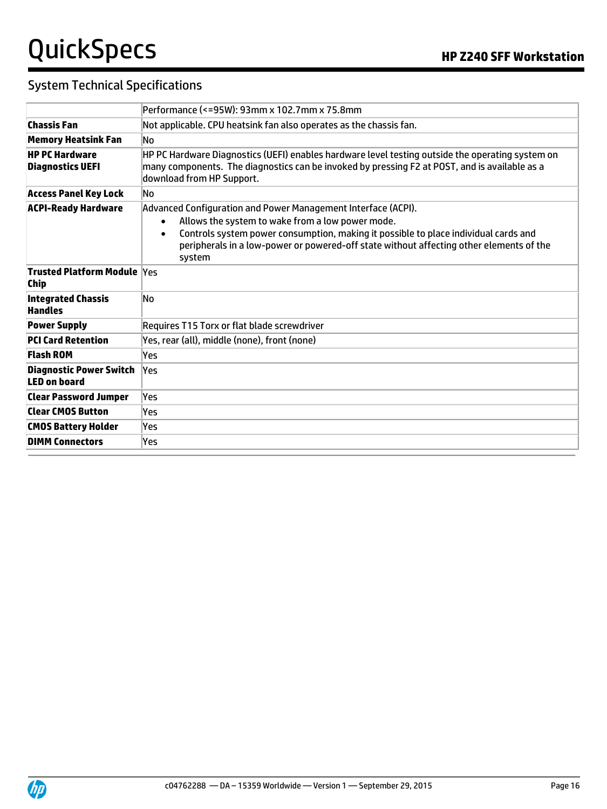| Performance (<=95W): 93mm x 102.7mm x 75.8mm                                                                                                                                                                                                                                                                               |  |  |  |
|----------------------------------------------------------------------------------------------------------------------------------------------------------------------------------------------------------------------------------------------------------------------------------------------------------------------------|--|--|--|
| Not applicable. CPU heatsink fan also operates as the chassis fan.                                                                                                                                                                                                                                                         |  |  |  |
| No.                                                                                                                                                                                                                                                                                                                        |  |  |  |
| HP PC Hardware Diagnostics (UEFI) enables hardware level testing outside the operating system on<br>many components. The diagnostics can be invoked by pressing F2 at POST, and is available as a<br>download from HP Support.                                                                                             |  |  |  |
| No.                                                                                                                                                                                                                                                                                                                        |  |  |  |
| Advanced Configuration and Power Management Interface (ACPI).<br>Allows the system to wake from a low power mode.<br>Controls system power consumption, making it possible to place individual cards and<br>$\bullet$<br>peripherals in a low-power or powered-off state without affecting other elements of the<br>system |  |  |  |
| <b>Trusted Platform Module Yes</b>                                                                                                                                                                                                                                                                                         |  |  |  |
| No                                                                                                                                                                                                                                                                                                                         |  |  |  |
| Requires T15 Torx or flat blade screwdriver                                                                                                                                                                                                                                                                                |  |  |  |
| Yes, rear (all), middle (none), front (none)                                                                                                                                                                                                                                                                               |  |  |  |
| Yes                                                                                                                                                                                                                                                                                                                        |  |  |  |
| Yes                                                                                                                                                                                                                                                                                                                        |  |  |  |
| Yes                                                                                                                                                                                                                                                                                                                        |  |  |  |
| Yes                                                                                                                                                                                                                                                                                                                        |  |  |  |
| Yes                                                                                                                                                                                                                                                                                                                        |  |  |  |
| Yes                                                                                                                                                                                                                                                                                                                        |  |  |  |
|                                                                                                                                                                                                                                                                                                                            |  |  |  |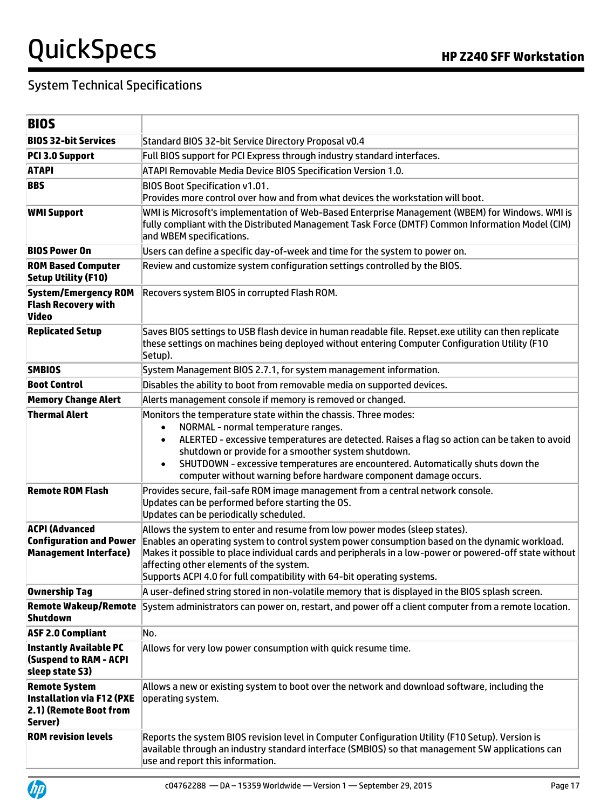| <b>BIOS</b>                                                                                   |                                                                                                                                                                                                                                                                                                                                                                                                                                    |  |  |
|-----------------------------------------------------------------------------------------------|------------------------------------------------------------------------------------------------------------------------------------------------------------------------------------------------------------------------------------------------------------------------------------------------------------------------------------------------------------------------------------------------------------------------------------|--|--|
| <b>BIOS 32-bit Services</b>                                                                   | Standard BIOS 32-bit Service Directory Proposal v0.4                                                                                                                                                                                                                                                                                                                                                                               |  |  |
| PCI 3.0 Support                                                                               | Full BIOS support for PCI Express through industry standard interfaces.                                                                                                                                                                                                                                                                                                                                                            |  |  |
| <b>ATAPI</b>                                                                                  | ATAPI Removable Media Device BIOS Specification Version 1.0.                                                                                                                                                                                                                                                                                                                                                                       |  |  |
| <b>BBS</b>                                                                                    | <b>BIOS Boot Specification v1.01.</b><br>Provides more control over how and from what devices the workstation will boot.                                                                                                                                                                                                                                                                                                           |  |  |
| <b>WMI Support</b>                                                                            | WMI is Microsoft's implementation of Web-Based Enterprise Management (WBEM) for Windows. WMI is<br>fully compliant with the Distributed Management Task Force (DMTF) Common Information Model (CIM)<br>and WBEM specifications.                                                                                                                                                                                                    |  |  |
| <b>BIOS Power On</b>                                                                          | Users can define a specific day-of-week and time for the system to power on.                                                                                                                                                                                                                                                                                                                                                       |  |  |
| <b>ROM Based Computer</b><br><b>Setup Utility (F10)</b>                                       | Review and customize system configuration settings controlled by the BIOS.                                                                                                                                                                                                                                                                                                                                                         |  |  |
| <b>System/Emergency ROM</b><br><b>Flash Recovery with</b><br>Video                            | Recovers system BIOS in corrupted Flash ROM.                                                                                                                                                                                                                                                                                                                                                                                       |  |  |
| <b>Replicated Setup</b>                                                                       | Saves BIOS settings to USB flash device in human readable file. Repset.exe utility can then replicate<br>these settings on machines being deployed without entering Computer Configuration Utility (F10<br>Setup).                                                                                                                                                                                                                 |  |  |
| <b>SMBIOS</b>                                                                                 | System Management BIOS 2.7.1, for system management information.                                                                                                                                                                                                                                                                                                                                                                   |  |  |
| <b>Boot Control</b>                                                                           | Disables the ability to boot from removable media on supported devices.                                                                                                                                                                                                                                                                                                                                                            |  |  |
| <b>Memory Change Alert</b>                                                                    | Alerts management console if memory is removed or changed.                                                                                                                                                                                                                                                                                                                                                                         |  |  |
| <b>Thermal Alert</b>                                                                          | Monitors the temperature state within the chassis. Three modes:<br>NORMAL - normal temperature ranges.<br>$\bullet$<br>ALERTED - excessive temperatures are detected. Raises a flag so action can be taken to avoid<br>shutdown or provide for a smoother system shutdown.<br>SHUTDOWN - excessive temperatures are encountered. Automatically shuts down the<br>computer without warning before hardware component damage occurs. |  |  |
| <b>Remote ROM Flash</b>                                                                       | Provides secure, fail-safe ROM image management from a central network console.<br>Updates can be performed before starting the OS.<br>Updates can be periodically scheduled.                                                                                                                                                                                                                                                      |  |  |
| <b>ACPI (Advanced</b><br><b>Configuration and Power</b><br><b>Management Interface)</b>       | Allows the system to enter and resume from low power modes (sleep states).<br>Enables an operating system to control system power consumption based on the dynamic workload.<br>Makes it possible to place individual cards and peripherals in a low-power or powered-off state without<br>affecting other elements of the system.<br>Supports ACPI 4.0 for full compatibility with 64-bit operating systems.                      |  |  |
| <b>Ownership Tag</b>                                                                          | A user-defined string stored in non-volatile memory that is displayed in the BIOS splash screen.                                                                                                                                                                                                                                                                                                                                   |  |  |
| <b>Remote Wakeup/Remote</b><br><b>Shutdown</b>                                                | System administrators can power on, restart, and power off a client computer from a remote location.                                                                                                                                                                                                                                                                                                                               |  |  |
| <b>ASF 2.0 Compliant</b>                                                                      | No.                                                                                                                                                                                                                                                                                                                                                                                                                                |  |  |
| <b>Instantly Available PC</b><br><b>(Suspend to RAM - ACPI</b><br>sleep state S3)             | Allows for very low power consumption with quick resume time.                                                                                                                                                                                                                                                                                                                                                                      |  |  |
| <b>Remote System</b><br><b>Installation via F12 (PXE</b><br>2.1) (Remote Boot from<br>Server) | Allows a new or existing system to boot over the network and download software, including the<br>operating system.                                                                                                                                                                                                                                                                                                                 |  |  |
| <b>ROM revision levels</b>                                                                    | Reports the system BIOS revision level in Computer Configuration Utility (F10 Setup). Version is<br>available through an industry standard interface (SMBIOS) so that management SW applications can<br>use and report this information.                                                                                                                                                                                           |  |  |

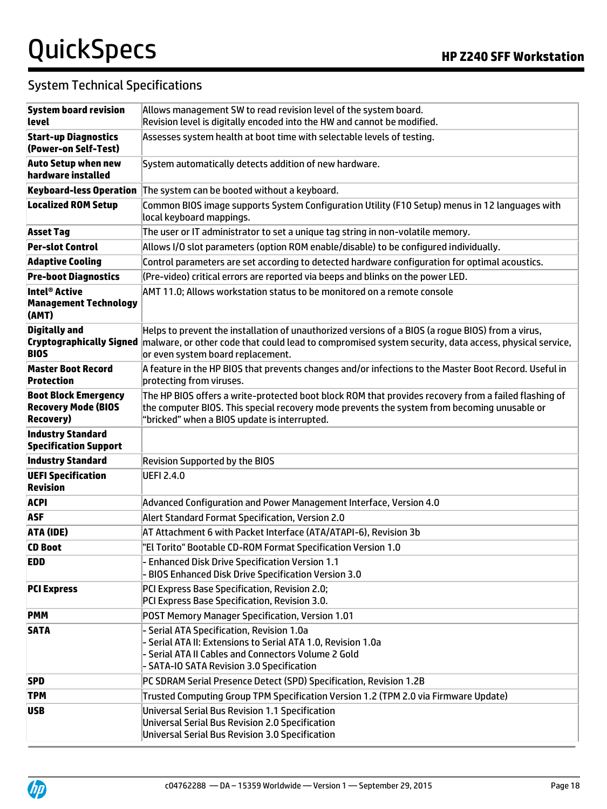# QuickSpecs **Manual Section HP Z240 SFF Workstation**

| <b>System board revision</b>                                                   | Allows management SW to read revision level of the system board.                                                                                                                                                                                                         |
|--------------------------------------------------------------------------------|--------------------------------------------------------------------------------------------------------------------------------------------------------------------------------------------------------------------------------------------------------------------------|
| level                                                                          | Revision level is digitally encoded into the HW and cannot be modified.                                                                                                                                                                                                  |
| <b>Start-up Diagnostics</b><br>(Power-on Self-Test)                            | Assesses system health at boot time with selectable levels of testing.                                                                                                                                                                                                   |
| <b>Auto Setup when new</b><br>hardware installed                               | System automatically detects addition of new hardware.                                                                                                                                                                                                                   |
| <b>Keyboard-less Operation</b>                                                 | The system can be booted without a keyboard.                                                                                                                                                                                                                             |
| <b>Localized ROM Setup</b>                                                     | Common BIOS image supports System Configuration Utility (F10 Setup) menus in 12 languages with<br>local keyboard mappings.                                                                                                                                               |
| <b>Asset Tag</b>                                                               | The user or IT administrator to set a unique tag string in non-volatile memory.                                                                                                                                                                                          |
| <b>Per-slot Control</b>                                                        | Allows I/O slot parameters (option ROM enable/disable) to be configured individually.                                                                                                                                                                                    |
| <b>Adaptive Cooling</b>                                                        | Control parameters are set according to detected hardware configuration for optimal acoustics.                                                                                                                                                                           |
| <b>Pre-boot Diagnostics</b>                                                    | (Pre-video) critical errors are reported via beeps and blinks on the power LED.                                                                                                                                                                                          |
| Intel <sup>®</sup> Active<br><b>Management Technology</b><br>(AMT)             | AMT 11.0; Allows workstation status to be monitored on a remote console                                                                                                                                                                                                  |
| <b>Digitally and</b><br><b>BIOS</b>                                            | Helps to prevent the installation of unauthorized versions of a BIOS (a rogue BIOS) from a virus,<br>Cryptographically Signed malware, or other code that could lead to compromised system security, data access, physical service,<br>or even system board replacement. |
| <b>Master Boot Record</b><br><b>Protection</b>                                 | A feature in the HP BIOS that prevents changes and/or infections to the Master Boot Record. Useful in<br>protecting from viruses.                                                                                                                                        |
| <b>Boot Block Emergency</b><br><b>Recovery Mode (BIOS</b><br><b>Recovery</b> ) | The HP BIOS offers a write-protected boot block ROM that provides recovery from a failed flashing of<br>the computer BIOS. This special recovery mode prevents the system from becoming unusable or<br>"bricked" when a BIOS update is interrupted.                      |
| <b>Industry Standard</b><br><b>Specification Support</b>                       |                                                                                                                                                                                                                                                                          |
| <b>Industry Standard</b>                                                       | <b>Revision Supported by the BIOS</b>                                                                                                                                                                                                                                    |
| <b>UEFI Specification</b><br><b>Revision</b>                                   | <b>UEFI 2.4.0</b>                                                                                                                                                                                                                                                        |
| <b>ACPI</b>                                                                    | Advanced Configuration and Power Management Interface, Version 4.0                                                                                                                                                                                                       |
| <b>ASF</b>                                                                     | Alert Standard Format Specification, Version 2.0                                                                                                                                                                                                                         |
| ATA (IDE)                                                                      | AT Attachment 6 with Packet Interface (ATA/ATAPI-6), Revision 3b                                                                                                                                                                                                         |
| <b>CD Boot</b>                                                                 | "El Torito" Bootable CD-ROM Format Specification Version 1.0                                                                                                                                                                                                             |
| <b>EDD</b>                                                                     | - Enhanced Disk Drive Specification Version 1.1<br>- BIOS Enhanced Disk Drive Specification Version 3.0                                                                                                                                                                  |
| <b>PCI Express</b>                                                             | PCI Express Base Specification, Revision 2.0;<br>PCI Express Base Specification, Revision 3.0.                                                                                                                                                                           |
| <b>PMM</b>                                                                     | POST Memory Manager Specification, Version 1.01                                                                                                                                                                                                                          |
| <b>SATA</b>                                                                    | - Serial ATA Specification, Revision 1.0a<br>- Serial ATA II: Extensions to Serial ATA 1.0, Revision 1.0a<br>- Serial ATA II Cables and Connectors Volume 2 Gold<br>- SATA-IO SATA Revision 3.0 Specification                                                            |
| <b>SPD</b>                                                                     | PC SDRAM Serial Presence Detect (SPD) Specification, Revision 1.2B                                                                                                                                                                                                       |
| <b>TPM</b>                                                                     | Trusted Computing Group TPM Specification Version 1.2 (TPM 2.0 via Firmware Update)                                                                                                                                                                                      |
| <b>USB</b>                                                                     | Universal Serial Bus Revision 1.1 Specification<br>Universal Serial Bus Revision 2.0 Specification<br>Universal Serial Bus Revision 3.0 Specification                                                                                                                    |

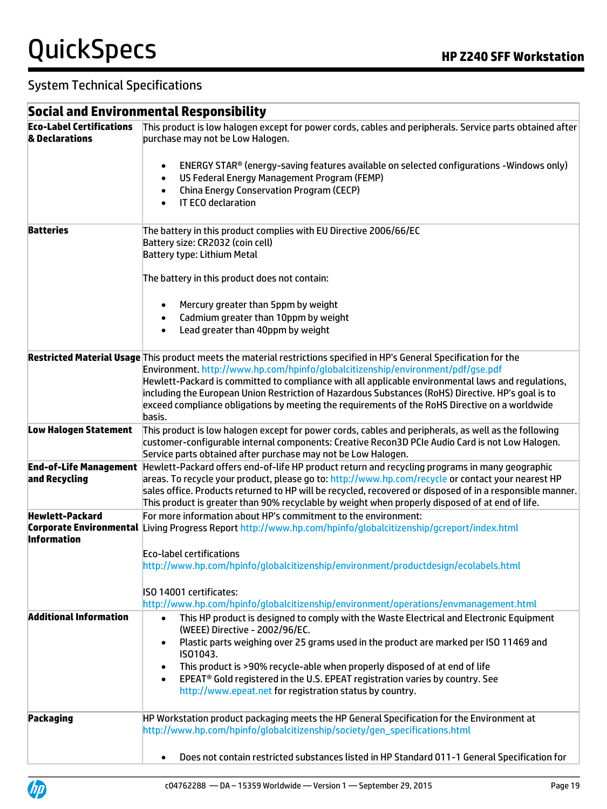#### System Technical Specifications

#### **Social and Environmental Responsibility Eco-Label Certifications & Declarations** This product is low halogen except for power cords, cables and peripherals. Service parts obtained after purchase may not be Low Halogen. ENERGY STAR® (energy-saving features available on selected configurations -Windows only) US Federal Energy Management Program (FEMP) China Energy Conservation Program (CECP) IT ECO declaration **Batteries** The battery in this product complies with EU Directive 2006/66/EC Battery size: CR2032 (coin cell) Battery type: Lithium Metal The battery in this product does not contain: Mercury greater than 5ppm by weight Cadmium greater than 10ppm by weight Lead greater than 40ppm by weight **Restricted Material Usage** This product meets the material restrictions specified in HP's General Specification for the Environment[. http://www.hp.com/hpinfo/globalcitizenship/environment/pdf/gse.pdf](http://www.hp.com/hpinfo/globalcitizenship/environment/pdf/gse.pdf) Hewlett-Packard is committed to compliance with all applicable environmental laws and regulations, including the European Union Restriction of Hazardous Substances (RoHS) Directive. HP's goal is to exceed compliance obligations by meeting the requirements of the RoHS Directive on a worldwide basis. **Low Halogen Statement** This product is low halogen except for power cords, cables and peripherals, as well as the following customer-configurable internal components: Creative Recon3D PCIe Audio Card is not Low Halogen. Service parts obtained after purchase may not be Low Halogen. **End-of-Life Management and Recycling** Hewlett-Packard offers end-of-life HP product return and recycling programs in many geographic areas. To recycle your product, please go to[: http://www.hp.com/recycle](http://www.hp.com/recycle) or contact your nearest HP sales office. Products returned to HP will be recycled, recovered or disposed of in a responsible manner. This product is greater than 90% recyclable by weight when properly disposed of at end of life. **Hewlett-Packard Corporate Environmental**  Living Progress Report <http://www.hp.com/hpinfo/globalcitizenship/gcreport/index.html> **Information** For more information about HP's commitment to the environment: Eco-label certifications <http://www.hp.com/hpinfo/globalcitizenship/environment/productdesign/ecolabels.html> ISO 14001 certificates: <http://www.hp.com/hpinfo/globalcitizenship/environment/operations/envmanagement.html> **Additional Information** This HP product is designed to comply with the Waste Electrical and Electronic Equipment (WEEE) Directive - 2002/96/EC. Plastic parts weighing over 25 grams used in the product are marked per ISO 11469 and ISO1043. This product is >90% recycle-able when properly disposed of at end of life EPEAT® Gold registered in the U.S. EPEAT registration varies by country. See http://www.epeat.net for registration status by country. **Packaging HP Workstation product packaging meets the HP General Specification for the Environment at Product packaging meets the HP General Specification for the Environment at** [http://www.hp.com/hpinfo/globalcitizenship/society/gen\\_specifications.html](http://www.hp.com/hpinfo/globalcitizenship/society/gen_specifications.html) Does not contain restricted substances listed in HP Standard 011-1 General Specification for

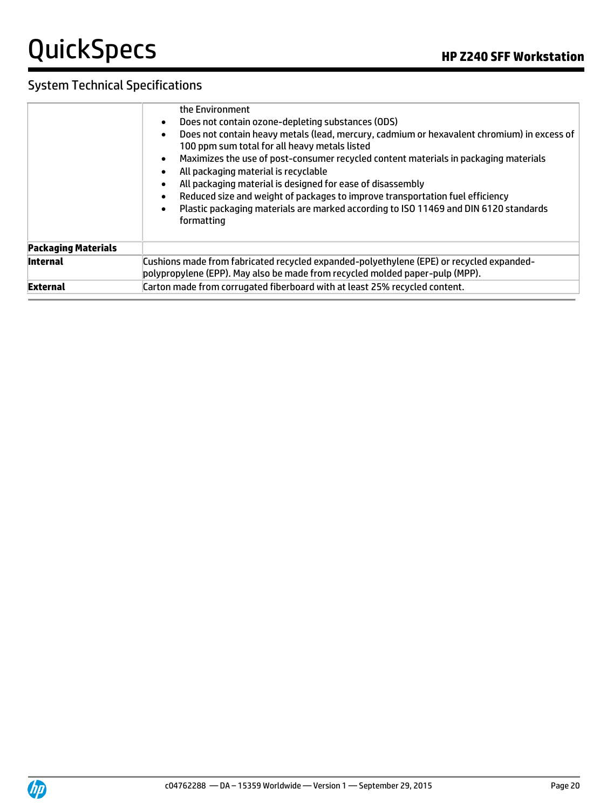|                            | the Environment                                                                                                                                                          |  |  |  |
|----------------------------|--------------------------------------------------------------------------------------------------------------------------------------------------------------------------|--|--|--|
|                            | Does not contain ozone-depleting substances (ODS)<br>$\bullet$                                                                                                           |  |  |  |
|                            | Does not contain heavy metals (lead, mercury, cadmium or hexavalent chromium) in excess of<br>$\bullet$<br>100 ppm sum total for all heavy metals listed                 |  |  |  |
|                            | Maximizes the use of post-consumer recycled content materials in packaging materials<br>$\bullet$<br>All packaging material is recyclable<br>$\bullet$                   |  |  |  |
|                            | All packaging material is designed for ease of disassembly<br>$\bullet$                                                                                                  |  |  |  |
|                            | Reduced size and weight of packages to improve transportation fuel efficiency<br>$\bullet$                                                                               |  |  |  |
|                            | Plastic packaging materials are marked according to ISO 11469 and DIN 6120 standards<br>$\bullet$<br>formatting                                                          |  |  |  |
| <b>Packaging Materials</b> |                                                                                                                                                                          |  |  |  |
| <b>Internal</b>            | Cushions made from fabricated recycled expanded-polyethylene (EPE) or recycled expanded-<br>polypropylene (EPP). May also be made from recycled molded paper-pulp (MPP). |  |  |  |
| <b>External</b>            | Carton made from corrugated fiberboard with at least 25% recycled content.                                                                                               |  |  |  |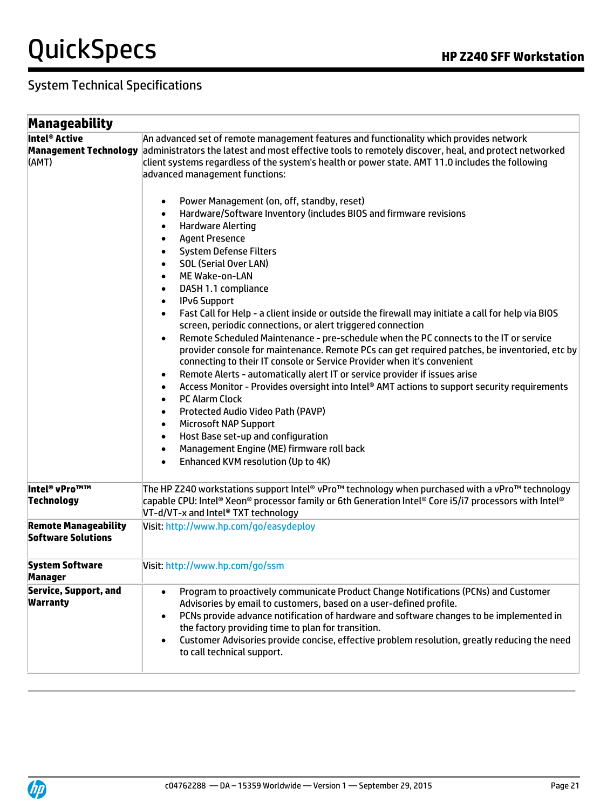# QuickSpecs **Manual Section HP Z240 SFF Workstation**

| Manageability                                                      |                                                                                                                                                                                                                                                                                                                                                                                                                                                                                                                                                                                                                                                                                                                                                                                                                                                                                                                                                                                                                                                                                                                                                                                                                                                                                                                                                                                                                                                                                                                                                                                                                                                                                                                                                     |  |  |
|--------------------------------------------------------------------|-----------------------------------------------------------------------------------------------------------------------------------------------------------------------------------------------------------------------------------------------------------------------------------------------------------------------------------------------------------------------------------------------------------------------------------------------------------------------------------------------------------------------------------------------------------------------------------------------------------------------------------------------------------------------------------------------------------------------------------------------------------------------------------------------------------------------------------------------------------------------------------------------------------------------------------------------------------------------------------------------------------------------------------------------------------------------------------------------------------------------------------------------------------------------------------------------------------------------------------------------------------------------------------------------------------------------------------------------------------------------------------------------------------------------------------------------------------------------------------------------------------------------------------------------------------------------------------------------------------------------------------------------------------------------------------------------------------------------------------------------------|--|--|
| Intel <sup>®</sup> Active<br><b>Management Technology</b><br>(AMT) | An advanced set of remote management features and functionality which provides network<br>administrators the latest and most effective tools to remotely discover, heal, and protect networked<br>client systems regardless of the system's health or power state. AMT 11.0 includes the following<br>advanced management functions:<br>Power Management (on, off, standby, reset)<br>$\bullet$<br>Hardware/Software Inventory (includes BIOS and firmware revisions<br>$\bullet$<br><b>Hardware Alerting</b><br>$\bullet$<br><b>Agent Presence</b><br>$\bullet$<br><b>System Defense Filters</b><br>$\bullet$<br><b>SOL (Serial Over LAN)</b><br>$\bullet$<br>ME Wake-on-LAN<br>$\bullet$<br>DASH 1.1 compliance<br>$\bullet$<br><b>IPv6 Support</b><br>$\bullet$<br>Fast Call for Help - a client inside or outside the firewall may initiate a call for help via BIOS<br>$\bullet$<br>screen, periodic connections, or alert triggered connection<br>Remote Scheduled Maintenance - pre-schedule when the PC connects to the IT or service<br>$\bullet$<br>provider console for maintenance. Remote PCs can get required patches, be inventoried, etc by<br>connecting to their IT console or Service Provider when it's convenient<br>Remote Alerts - automatically alert IT or service provider if issues arise<br>$\bullet$<br>Access Monitor - Provides oversight into Intel® AMT actions to support security requirements<br>$\bullet$<br><b>PC Alarm Clock</b><br>$\bullet$<br>Protected Audio Video Path (PAVP)<br>$\bullet$<br><b>Microsoft NAP Support</b><br>$\bullet$<br>Host Base set-up and configuration<br>$\bullet$<br>Management Engine (ME) firmware roll back<br>$\bullet$<br>Enhanced KVM resolution (Up to 4K)<br>$\bullet$ |  |  |
| Intel <sup>®</sup> vPro™™<br><b>Technology</b>                     | The HP Z240 workstations support Intel® vPro™ technology when purchased with a vPro™ technology<br>capable CPU: Intel® Xeon® processor family or 6th Generation Intel® Core i5/i7 processors with Intel®<br>VT-d/VT-x and Intel® TXT technology                                                                                                                                                                                                                                                                                                                                                                                                                                                                                                                                                                                                                                                                                                                                                                                                                                                                                                                                                                                                                                                                                                                                                                                                                                                                                                                                                                                                                                                                                                     |  |  |
| <b>Remote Manageability</b><br><b>Software Solutions</b>           | Visit: http://www.hp.com/go/easydeploy                                                                                                                                                                                                                                                                                                                                                                                                                                                                                                                                                                                                                                                                                                                                                                                                                                                                                                                                                                                                                                                                                                                                                                                                                                                                                                                                                                                                                                                                                                                                                                                                                                                                                                              |  |  |
| <b>System Software</b><br>Manager                                  | Visit: http://www.hp.com/go/ssm                                                                                                                                                                                                                                                                                                                                                                                                                                                                                                                                                                                                                                                                                                                                                                                                                                                                                                                                                                                                                                                                                                                                                                                                                                                                                                                                                                                                                                                                                                                                                                                                                                                                                                                     |  |  |
| <b>Service, Support, and</b><br><b>Warranty</b>                    | Program to proactively communicate Product Change Notifications (PCNs) and Customer<br>$\bullet$<br>Advisories by email to customers, based on a user-defined profile.<br>PCNs provide advance notification of hardware and software changes to be implemented in<br>$\bullet$<br>the factory providing time to plan for transition.<br>Customer Advisories provide concise, effective problem resolution, greatly reducing the need<br>$\bullet$<br>to call technical support.                                                                                                                                                                                                                                                                                                                                                                                                                                                                                                                                                                                                                                                                                                                                                                                                                                                                                                                                                                                                                                                                                                                                                                                                                                                                     |  |  |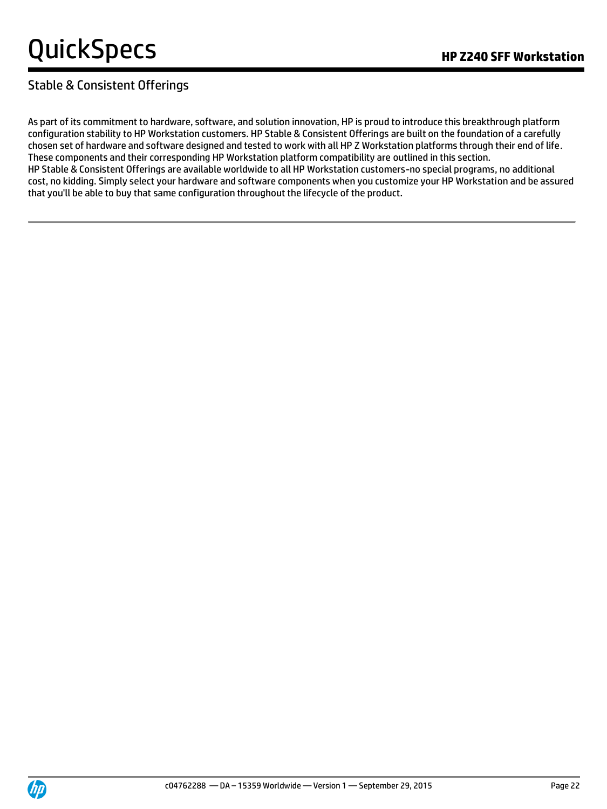### Stable & Consistent Offerings

As part of its commitment to hardware, software, and solution innovation, HP is proud to introduce this breakthrough platform configuration stability to HP Workstation customers. HP Stable & Consistent Offerings are built on the foundation of a carefully chosen set of hardware and software designed and tested to work with all HP Z Workstation platforms through their end of life. These components and their corresponding HP Workstation platform compatibility are outlined in this section. HP Stable & Consistent Offerings are available worldwide to all HP Workstation customers-no special programs, no additional cost, no kidding. Simply select your hardware and software components when you customize your HP Workstation and be assured that you'll be able to buy that same configuration throughout the lifecycle of the product.

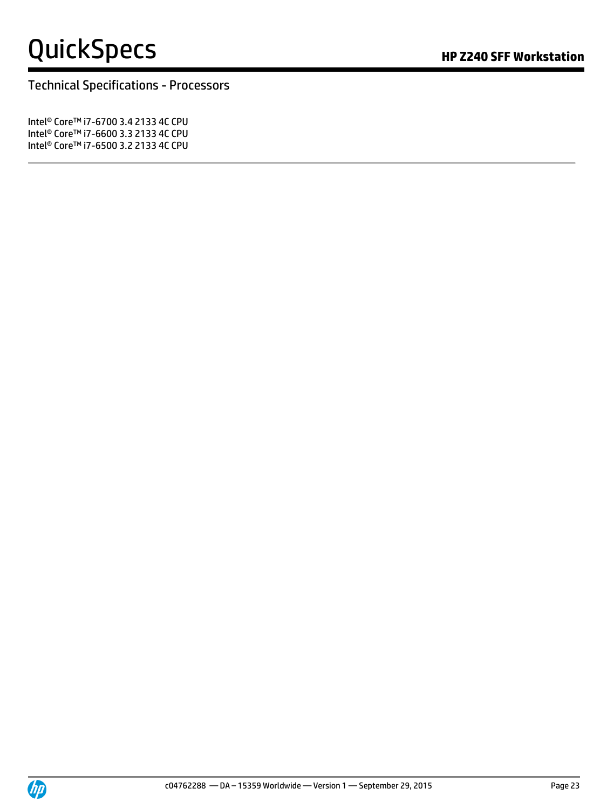# QuickSpecs **Manual Section HP Z240 SFF Workstation**

Technical Specifications - Processors

Intel® CoreTM i7-6700 3.4 2133 4C CPU Intel® CoreTM i7-6600 3.3 2133 4C CPU Intel<sup>®</sup> Core™ i7-6500 3.2 2133 4C CPU

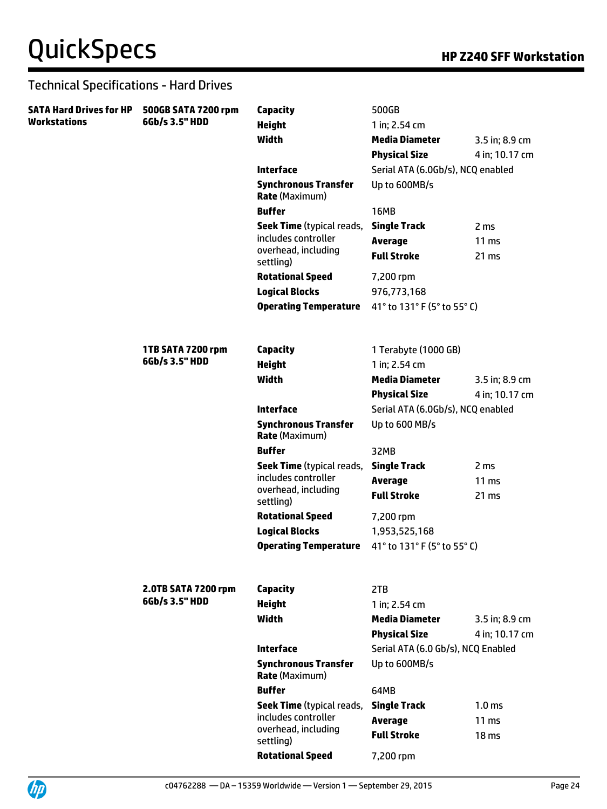| SATA Hard Drives for HP<br>Workstations | 500GB SATA 7200 rpm<br>6Gb/s 3.5" HDD | Capacity                                             | 500GB                              |                   |
|-----------------------------------------|---------------------------------------|------------------------------------------------------|------------------------------------|-------------------|
|                                         |                                       | <b>Height</b>                                        | 1 in; 2.54 cm                      |                   |
|                                         |                                       | Width                                                | <b>Media Diameter</b>              | 3.5 in; 8.9 cm    |
|                                         |                                       |                                                      | <b>Physical Size</b>               | 4 in; 10.17 cm    |
|                                         |                                       | <b>Interface</b>                                     | Serial ATA (6.0Gb/s), NCQ enabled  |                   |
|                                         |                                       | <b>Synchronous Transfer</b><br><b>Rate (Maximum)</b> | Up to 600MB/s                      |                   |
|                                         |                                       | <b>Buffer</b>                                        | <b>16MB</b>                        |                   |
|                                         |                                       | <b>Seek Time</b> (typical reads,                     | <b>Single Track</b>                | 2 ms              |
|                                         |                                       | includes controller                                  | <b>Average</b>                     | $11 \text{ ms}$   |
|                                         |                                       | overhead, including<br>settling)                     | <b>Full Stroke</b>                 | 21 ms             |
|                                         |                                       | <b>Rotational Speed</b>                              | 7,200 rpm                          |                   |
|                                         |                                       | <b>Logical Blocks</b>                                | 976,773,168                        |                   |
|                                         |                                       | <b>Operating Temperature</b>                         | 41° to 131° F (5° to 55° C)        |                   |
|                                         | 1TB SATA 7200 rpm                     | <b>Capacity</b>                                      | 1 Terabyte (1000 GB)               |                   |
|                                         | 6Gb/s 3.5" HDD                        | <b>Height</b>                                        | 1 in; 2.54 cm                      |                   |
|                                         |                                       | Width                                                | <b>Media Diameter</b>              | 3.5 in; 8.9 cm    |
|                                         |                                       |                                                      | <b>Physical Size</b>               | 4 in; 10.17 cm    |
|                                         |                                       | <b>Interface</b>                                     | Serial ATA (6.0Gb/s), NCQ enabled  |                   |
|                                         |                                       | <b>Synchronous Transfer</b><br><b>Rate (Maximum)</b> | Up to 600 MB/s                     |                   |
|                                         |                                       | <b>Buffer</b>                                        | 32MB                               |                   |
|                                         |                                       | <b>Seek Time</b> (typical reads,                     | <b>Single Track</b>                | 2 <sub>ms</sub>   |
|                                         |                                       | includes controller                                  | <b>Average</b>                     | $11 \text{ ms}$   |
|                                         |                                       | overhead, including<br>settling)                     | <b>Full Stroke</b>                 | 21 ms             |
|                                         |                                       | <b>Rotational Speed</b>                              | 7,200 rpm                          |                   |
|                                         |                                       | <b>Logical Blocks</b>                                | 1,953,525,168                      |                   |
|                                         |                                       | <b>Operating Temperature</b>                         | 41° to 131° F (5° to 55° C)        |                   |
|                                         | 2.0TB SATA 7200 rpm                   | <b>Capacity</b>                                      | 2TB                                |                   |
|                                         | 6Gb/s 3.5" HDD                        | <b>Height</b>                                        | 1 in; 2.54 cm                      |                   |
|                                         |                                       | <b>Width</b>                                         | <b>Media Diameter</b>              | 3.5 in; 8.9 cm    |
|                                         |                                       |                                                      | <b>Physical Size</b>               | 4 in; 10.17 cm    |
|                                         |                                       | <b>Interface</b>                                     | Serial ATA (6.0 Gb/s), NCQ Enabled |                   |
|                                         |                                       | <b>Synchronous Transfer</b><br><b>Rate (Maximum)</b> | Up to 600MB/s                      |                   |
|                                         |                                       | <b>Buffer</b>                                        | 64MB                               |                   |
|                                         |                                       | <b>Seek Time</b> (typical reads,                     | <b>Single Track</b>                | 1.0 <sub>ms</sub> |
|                                         |                                       | includes controller                                  | <b>Average</b>                     | $11 \text{ ms}$   |
|                                         |                                       | overhead, including<br>settling)                     | <b>Full Stroke</b>                 | 18 <sub>ms</sub>  |
|                                         |                                       | <b>Rotational Speed</b>                              | 7,200 rpm                          |                   |

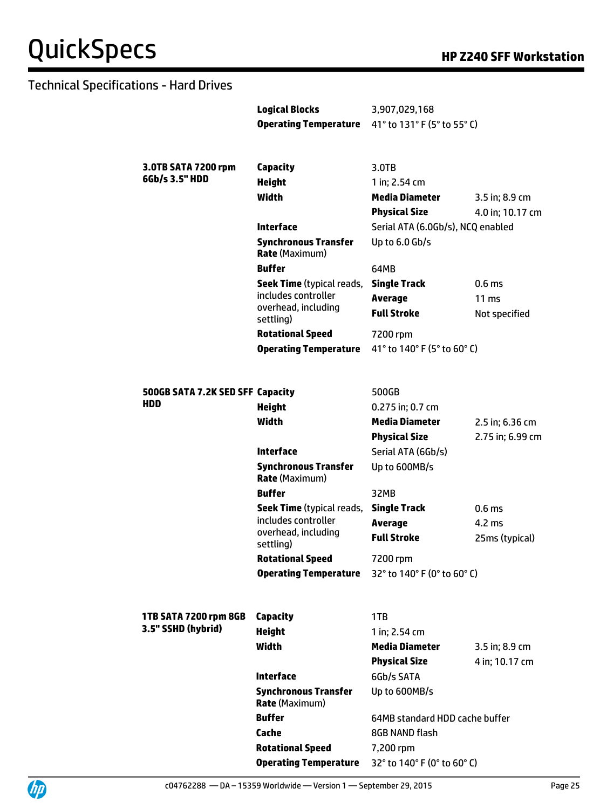|                                  | <b>Logical Blocks</b><br><b>Operating Temperature</b> | 3,907,029,168<br>41° to 131° F (5° to 55° C) |                   |
|----------------------------------|-------------------------------------------------------|----------------------------------------------|-------------------|
|                                  |                                                       |                                              |                   |
| 3.0TB SATA 7200 rpm              | Capacity                                              | $3.0$ TB                                     |                   |
| 6Gb/s 3.5" HDD                   | <b>Height</b>                                         | 1 in; 2.54 cm                                |                   |
|                                  | Width                                                 | <b>Media Diameter</b>                        | 3.5 in; 8.9 cm    |
|                                  |                                                       | <b>Physical Size</b>                         | 4.0 in; 10.17 cm  |
|                                  | <b>Interface</b>                                      | Serial ATA (6.0Gb/s), NCQ enabled            |                   |
|                                  | <b>Synchronous Transfer</b><br><b>Rate (Maximum)</b>  | Up to 6.0 Gb/s                               |                   |
|                                  | <b>Buffer</b>                                         | 64MB                                         |                   |
|                                  | Seek Time (typical reads,                             | <b>Single Track</b>                          | 0.6 <sub>ms</sub> |
|                                  | includes controller                                   | Average                                      | $11 \text{ ms}$   |
|                                  | overhead, including<br>settling)                      | <b>Full Stroke</b>                           | Not specified     |
|                                  | <b>Rotational Speed</b>                               | 7200 rpm                                     |                   |
|                                  | <b>Operating Temperature</b>                          | 41° to 140° F (5° to 60° C)                  |                   |
|                                  |                                                       |                                              |                   |
| 500GB SATA 7.2K SED SFF Capacity |                                                       | 500GB                                        |                   |
| HDD                              | <b>Height</b>                                         | 0.275 in; 0.7 cm                             |                   |
|                                  | <b>Width</b>                                          | <b>Media Diameter</b>                        | 2.5 in; 6.36 cm   |
|                                  |                                                       | <b>Physical Size</b>                         | 2.75 in; 6.99 cm  |
|                                  | <b>Interface</b>                                      | Serial ATA (6Gb/s)                           |                   |
|                                  | <b>Synchronous Transfer</b><br><b>Rate (Maximum)</b>  | Up to 600MB/s                                |                   |
|                                  | <b>Buffer</b>                                         | 32MB                                         |                   |
|                                  | <b>Seek Time</b> (typical reads,                      | <b>Single Track</b>                          | 0.6 <sub>ms</sub> |
|                                  | includes controller                                   | <b>Average</b>                               | $4.2 \text{ ms}$  |
|                                  | overhead, including<br>settling)                      | <b>Full Stroke</b>                           | 25ms (typical)    |
|                                  | <b>Rotational Speed</b>                               | 7200 rpm                                     |                   |
|                                  | <b>Operating Temperature</b>                          | 32° to 140° F (0° to 60° C)                  |                   |
|                                  |                                                       |                                              |                   |
| 1TB SATA 7200 rpm 8GB            | Capacity                                              | 1TB                                          |                   |
| 3.5" SSHD (hybrid)               | <b>Height</b>                                         | 1 in; 2.54 cm                                |                   |
|                                  | Width                                                 | <b>Media Diameter</b>                        | 3.5 in; 8.9 cm    |
|                                  |                                                       | <b>Physical Size</b>                         | 4 in; 10.17 cm    |
|                                  | <b>Interface</b>                                      | 6Gb/s SATA                                   |                   |
|                                  | <b>Synchronous Transfer</b><br><b>Rate (Maximum)</b>  | Up to 600MB/s                                |                   |
|                                  | <b>Buffer</b>                                         | 64MB standard HDD cache buffer               |                   |
|                                  | Cache                                                 | 8GB NAND flash                               |                   |
|                                  | <b>Rotational Speed</b>                               | 7,200 rpm                                    |                   |
|                                  | <b>Operating Temperature</b>                          | 32° to 140° F (0° to 60° C)                  |                   |

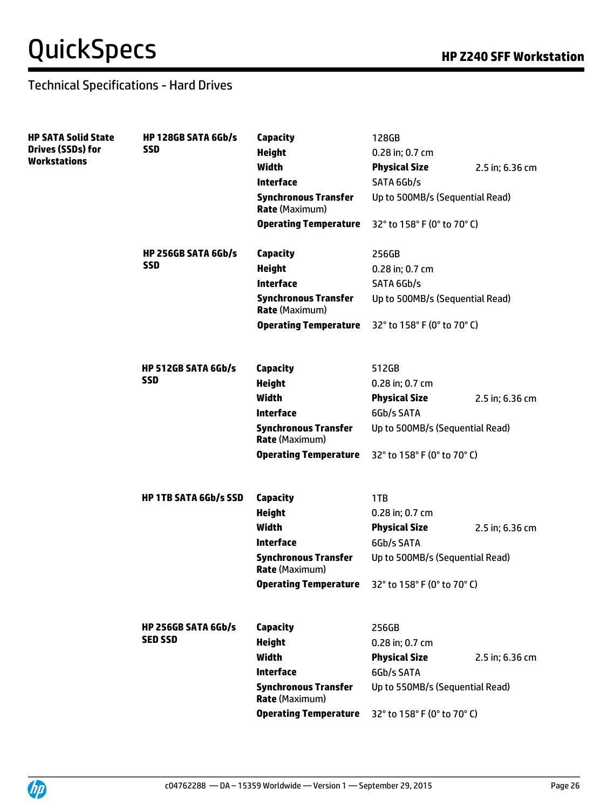| <b>HP SATA Solid State</b>                      | <b>HP 128GB SATA 6Gb/s</b>   | Capacity                                             | 128GB                           |                 |
|-------------------------------------------------|------------------------------|------------------------------------------------------|---------------------------------|-----------------|
| <b>Drives (SSDs) for</b><br><b>Workstations</b> | <b>SSD</b>                   | <b>Height</b>                                        | 0.28 in; 0.7 cm                 |                 |
|                                                 |                              | <b>Width</b>                                         | <b>Physical Size</b>            | 2.5 in; 6.36 cm |
|                                                 |                              | <b>Interface</b>                                     | SATA 6Gb/s                      |                 |
|                                                 |                              | <b>Synchronous Transfer</b><br><b>Rate (Maximum)</b> | Up to 500MB/s (Sequential Read) |                 |
|                                                 |                              | <b>Operating Temperature</b>                         | 32° to 158° F (0° to 70° C)     |                 |
|                                                 | <b>HP 256GB SATA 6Gb/s</b>   | Capacity                                             | 256GB                           |                 |
|                                                 | <b>SSD</b>                   | <b>Height</b>                                        | 0.28 in; 0.7 cm                 |                 |
|                                                 |                              | <b>Interface</b>                                     | SATA 6Gb/s                      |                 |
|                                                 |                              | <b>Synchronous Transfer</b><br><b>Rate (Maximum)</b> | Up to 500MB/s (Sequential Read) |                 |
|                                                 |                              | <b>Operating Temperature</b>                         | 32° to 158° F (0° to 70° C)     |                 |
|                                                 | <b>HP 512GB SATA 6Gb/s</b>   | Capacity                                             | 512GB                           |                 |
|                                                 | <b>SSD</b>                   | <b>Height</b>                                        | 0.28 in; 0.7 cm                 |                 |
|                                                 |                              | <b>Width</b>                                         | <b>Physical Size</b>            | 2.5 in; 6.36 cm |
|                                                 |                              | <b>Interface</b>                                     | 6Gb/s SATA                      |                 |
|                                                 |                              | <b>Synchronous Transfer</b><br><b>Rate (Maximum)</b> | Up to 500MB/s (Sequential Read) |                 |
|                                                 |                              | <b>Operating Temperature</b>                         | 32° to 158° F (0° to 70° C)     |                 |
|                                                 | <b>HP 1TB SATA 6Gb/s SSD</b> | Capacity                                             | 1TB                             |                 |
|                                                 |                              | <b>Height</b>                                        | 0.28 in; 0.7 cm                 |                 |
|                                                 |                              | <b>Width</b>                                         | <b>Physical Size</b>            | 2.5 in; 6.36 cm |
|                                                 |                              | <b>Interface</b>                                     | 6Gb/s SATA                      |                 |
|                                                 |                              | <b>Synchronous Transfer</b><br><b>Rate (Maximum)</b> | Up to 500MB/s (Sequential Read) |                 |
|                                                 |                              | <b>Operating Temperature</b>                         | 32° to 158° F (0° to 70° C)     |                 |
|                                                 | <b>HP 256GB SATA 6Gb/s</b>   | <b>Capacity</b>                                      | 256GB                           |                 |
|                                                 | <b>SED SSD</b>               | <b>Height</b>                                        | 0.28 in; 0.7 cm                 |                 |
|                                                 |                              | <b>Width</b>                                         | <b>Physical Size</b>            | 2.5 in; 6.36 cm |
|                                                 |                              | <b>Interface</b>                                     | 6Gb/s SATA                      |                 |
|                                                 |                              | <b>Synchronous Transfer</b><br><b>Rate (Maximum)</b> | Up to 550MB/s (Sequential Read) |                 |
|                                                 |                              | <b>Operating Temperature</b>                         | 32° to 158° F (0° to 70° C)     |                 |
|                                                 |                              |                                                      |                                 |                 |

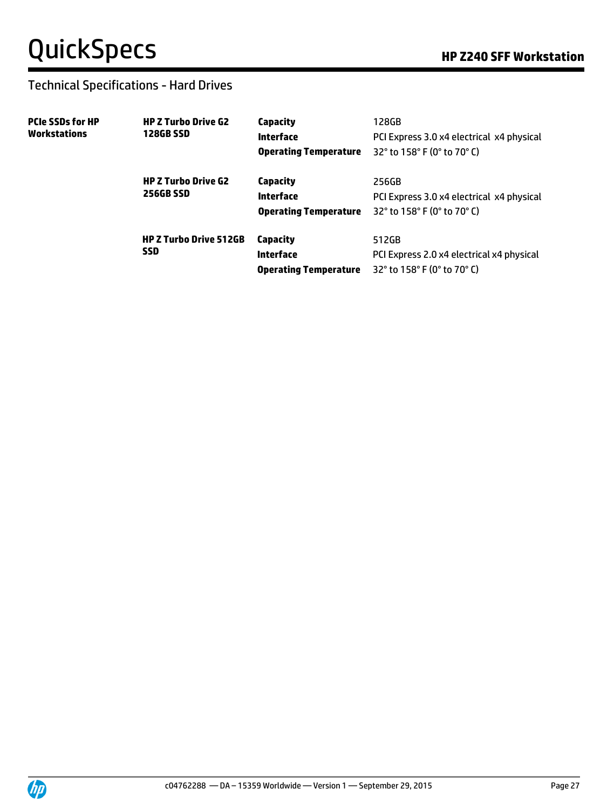| <b>PCIe SSDs for HP</b><br>Workstations | <b>HP Z Turbo Drive G2</b><br><b>128GB SSD</b> | Capacity<br>Interface<br><b>Operating Temperature</b> | 128GB<br>PCI Express 3.0 x4 electrical x4 physical<br>32 $^{\circ}$ to 158 $^{\circ}$ F (0 $^{\circ}$ to 70 $^{\circ}$ C) |
|-----------------------------------------|------------------------------------------------|-------------------------------------------------------|---------------------------------------------------------------------------------------------------------------------------|
|                                         | <b>HP Z Turbo Drive G2</b><br><b>256GB SSD</b> | Capacity<br>Interface<br><b>Operating Temperature</b> | 256GB<br>PCI Express 3.0 x4 electrical x4 physical<br>32° to 158° F (0° to 70° C)                                         |
|                                         | <b>HP Z Turbo Drive 512GB</b><br><b>SSD</b>    | Capacity<br>Interface<br><b>Operating Temperature</b> | 512GB<br>PCI Express 2.0 x4 electrical x4 physical<br>32° to 158° F (0° to 70° C)                                         |

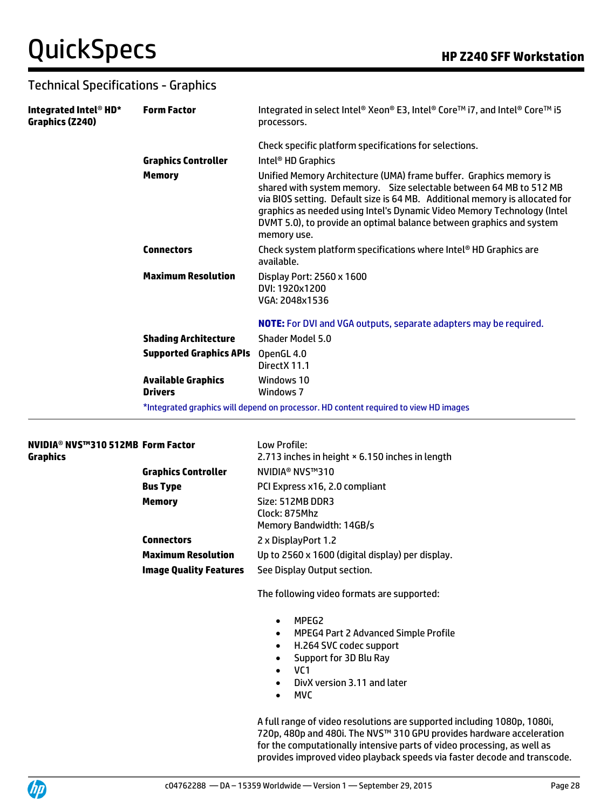| Integrated Intel <sup>®</sup> HD*<br>Graphics (Z240) | <b>Form Factor</b>                          | Integrated in select Intel® Xeon® E3, Intel® Core™ i7, and Intel® Core™ i5<br>processors.                                                                                                                                                                                                                                                                                                 |
|------------------------------------------------------|---------------------------------------------|-------------------------------------------------------------------------------------------------------------------------------------------------------------------------------------------------------------------------------------------------------------------------------------------------------------------------------------------------------------------------------------------|
|                                                      |                                             | Check specific platform specifications for selections.                                                                                                                                                                                                                                                                                                                                    |
|                                                      | <b>Graphics Controller</b>                  | Intel <sup>®</sup> HD Graphics                                                                                                                                                                                                                                                                                                                                                            |
|                                                      | <b>Memory</b>                               | Unified Memory Architecture (UMA) frame buffer. Graphics memory is<br>shared with system memory. Size selectable between 64 MB to 512 MB<br>via BIOS setting. Default size is 64 MB. Additional memory is allocated for<br>graphics as needed using Intel's Dynamic Video Memory Technology (Intel<br>DVMT 5.0), to provide an optimal balance between graphics and system<br>memory use. |
|                                                      | <b>Connectors</b>                           | Check system platform specifications where Intel® HD Graphics are<br>available.                                                                                                                                                                                                                                                                                                           |
|                                                      | <b>Maximum Resolution</b>                   | Display Port: 2560 x 1600<br>DVI: 1920x1200<br>VGA: 2048x1536                                                                                                                                                                                                                                                                                                                             |
|                                                      |                                             | <b>NOTE:</b> For DVI and VGA outputs, separate adapters may be required.                                                                                                                                                                                                                                                                                                                  |
|                                                      | <b>Shading Architecture</b>                 | Shader Model 5.0                                                                                                                                                                                                                                                                                                                                                                          |
|                                                      | <b>Supported Graphics APIs</b>              | OpenGL 4.0<br>DirectX 11.1                                                                                                                                                                                                                                                                                                                                                                |
|                                                      | <b>Available Graphics</b><br><b>Drivers</b> | Windows 10<br>Windows 7                                                                                                                                                                                                                                                                                                                                                                   |
|                                                      |                                             | *Integrated graphics will depend on processor. HD content required to view HD images                                                                                                                                                                                                                                                                                                      |

#### **NVIDIA**® **NVS™310 512MB Form Factor** Low Profile: **Graphics**

|                               | 2.713 inches in height × 6.150 inches in length               |
|-------------------------------|---------------------------------------------------------------|
| <b>Graphics Controller</b>    | NVIDIA® NVS™310                                               |
| <b>Bus Type</b>               | PCI Express x16, 2.0 compliant                                |
| <b>Memory</b>                 | Size: 512MB DDR3<br>Clock: 875Mhz<br>Memory Bandwidth: 14GB/s |
| <b>Connectors</b>             | 2 x DisplayPort 1.2                                           |
| <b>Maximum Resolution</b>     | Up to 2560 x 1600 (digital display) per display.              |
| <b>Image Quality Features</b> | See Display Output section.                                   |

The following video formats are supported:

- MPEG2
- MPEG4 Part 2 Advanced Simple Profile
- H.264 SVC codec support
- Support for 3D Blu Ray
- VC1
- DivX version 3.11 and later
- MVC

A full range of video resolutions are supported including 1080p, 1080i, 720p, 480p and 480i. The NVS™ 310 GPU provides hardware acceleration for the computationally intensive parts of video processing, as well as provides improved video playback speeds via faster decode and transcode.

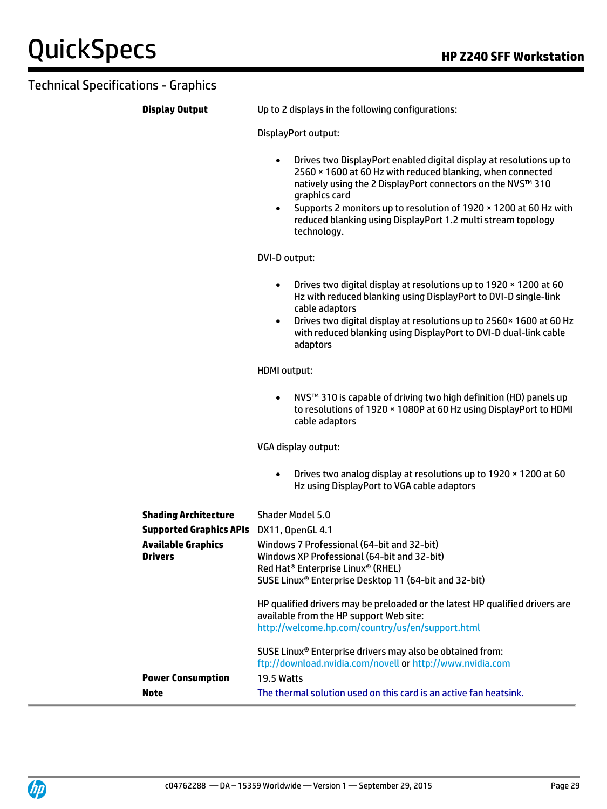**Display Output** Up to 2 displays in the following configurations:

DisplayPort output:

- Drives two DisplayPort enabled digital display at resolutions up to 2560 × 1600 at 60 Hz with reduced blanking, when connected natively using the 2 DisplayPort connectors on the NVS™ 310 graphics card
- Supports 2 monitors up to resolution of 1920 × 1200 at 60 Hz with reduced blanking using DisplayPort 1.2 multi stream topology technology.

DVI-D output:

- Drives two digital display at resolutions up to 1920 × 1200 at 60 Hz with reduced blanking using DisplayPort to DVI-D single-link cable adaptors
- Drives two digital display at resolutions up to 2560× 1600 at 60 Hz with reduced blanking using DisplayPort to DVI-D dual-link cable adaptors

HDMI output:

 NVS™ 310 is capable of driving two high definition (HD) panels up to resolutions of 1920 × 1080P at 60 Hz using DisplayPort to HDMI cable adaptors

VGA display output:

 Drives two analog display at resolutions up to 1920 × 1200 at 60 Hz using DisplayPort to VGA cable adaptors

| <b>Shading Architecture</b>                 | Shader Model 5.0                                                                                                                                                                                                |
|---------------------------------------------|-----------------------------------------------------------------------------------------------------------------------------------------------------------------------------------------------------------------|
| <b>Supported Graphics APIs</b>              | DX11, OpenGL 4.1                                                                                                                                                                                                |
| <b>Available Graphics</b><br><b>Drivers</b> | Windows 7 Professional (64-bit and 32-bit)<br>Windows XP Professional (64-bit and 32-bit)<br>Red Hat <sup>®</sup> Enterprise Linux® (RHEL)<br>SUSE Linux <sup>®</sup> Enterprise Desktop 11 (64-bit and 32-bit) |
|                                             | HP qualified drivers may be preloaded or the latest HP qualified drivers are<br>available from the HP support Web site:<br>http://welcome.hp.com/country/us/en/support.html                                     |
|                                             | SUSE Linux <sup>®</sup> Enterprise drivers may also be obtained from:<br>ftp://download.nvidia.com/novell or http://www.nvidia.com                                                                              |
| <b>Power Consumption</b>                    | 19.5 Watts                                                                                                                                                                                                      |
| <b>Note</b>                                 | The thermal solution used on this card is an active fan heatsink.                                                                                                                                               |

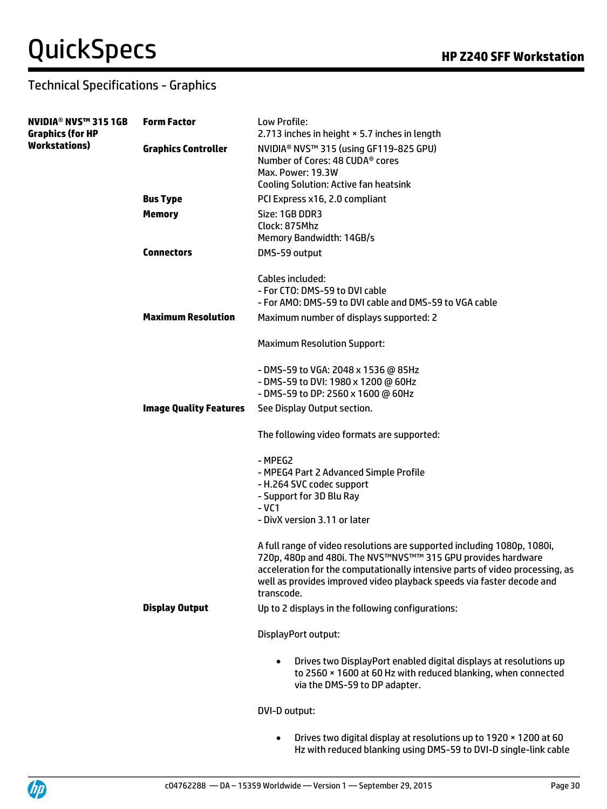| NVIDIA® NVS™ 315 1GB<br>Graphics (for HP | <b>Form Factor</b>            | Low Profile:<br>2.713 inches in height × 5.7 inches in length                                                                                                                                                                                                                                                  |
|------------------------------------------|-------------------------------|----------------------------------------------------------------------------------------------------------------------------------------------------------------------------------------------------------------------------------------------------------------------------------------------------------------|
| Workstations)                            | <b>Graphics Controller</b>    | NVIDIA® NVS™ 315 (using GF119-825 GPU)<br>Number of Cores: 48 CUDA <sup>®</sup> cores<br>Max. Power: 19.3W<br><b>Cooling Solution: Active fan heatsink</b>                                                                                                                                                     |
|                                          | <b>Bus Type</b>               | PCI Express x16, 2.0 compliant                                                                                                                                                                                                                                                                                 |
|                                          | <b>Memory</b>                 | Size: 1GB DDR3<br>Clock: 875Mhz<br>Memory Bandwidth: 14GB/s                                                                                                                                                                                                                                                    |
|                                          | <b>Connectors</b>             | DMS-59 output                                                                                                                                                                                                                                                                                                  |
|                                          |                               | Cables included:<br>- For CTO: DMS-59 to DVI cable<br>- For AMO: DMS-59 to DVI cable and DMS-59 to VGA cable                                                                                                                                                                                                   |
|                                          | <b>Maximum Resolution</b>     | Maximum number of displays supported: 2                                                                                                                                                                                                                                                                        |
|                                          |                               | <b>Maximum Resolution Support:</b>                                                                                                                                                                                                                                                                             |
|                                          |                               | - DMS-59 to VGA: 2048 x 1536 @ 85Hz<br>- DMS-59 to DVI: 1980 x 1200 @ 60Hz<br>- DMS-59 to DP: 2560 x 1600 @ 60Hz                                                                                                                                                                                               |
|                                          | <b>Image Quality Features</b> | See Display Output section.                                                                                                                                                                                                                                                                                    |
|                                          |                               | The following video formats are supported:                                                                                                                                                                                                                                                                     |
|                                          |                               | - MPEG2<br>- MPEG4 Part 2 Advanced Simple Profile<br>- H.264 SVC codec support<br>- Support for 3D Blu Ray<br>$-VC1$<br>- DivX version 3.11 or later                                                                                                                                                           |
|                                          |                               | A full range of video resolutions are supported including 1080p, 1080i,<br>720p, 480p and 480i. The NVS™NVS™™ 315 GPU provides hardware<br>acceleration for the computationally intensive parts of video processing, as<br>well as provides improved video playback speeds via faster decode and<br>transcode. |
|                                          | <b>Display Output</b>         | Up to 2 displays in the following configurations:                                                                                                                                                                                                                                                              |
|                                          |                               | DisplayPort output:                                                                                                                                                                                                                                                                                            |
|                                          |                               | Drives two DisplayPort enabled digital displays at resolutions up<br>to 2560 × 1600 at 60 Hz with reduced blanking, when connected<br>via the DMS-59 to DP adapter.                                                                                                                                            |
|                                          |                               | DVI-D output:                                                                                                                                                                                                                                                                                                  |
|                                          |                               |                                                                                                                                                                                                                                                                                                                |

 Drives two digital display at resolutions up to 1920 × 1200 at 60 Hz with reduced blanking using DMS-59 to DVI-D single-link cable

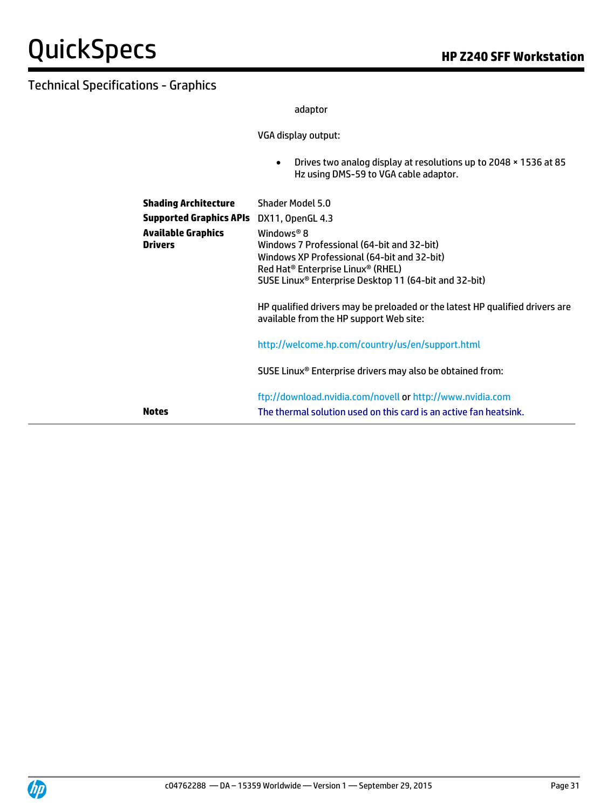adaptor

VGA display output:

 Drives two analog display at resolutions up to 2048 × 1536 at 85 Hz using DMS-59 to VGA cable adaptor.

| <b>Shading Architecture</b><br><b>Supported Graphics APIs</b><br><b>Available Graphics</b><br><b>Drivers</b> |              | Shader Model 5.0<br>DX11, OpenGL 4.3<br>Windows <sup>®</sup> 8<br>Windows 7 Professional (64-bit and 32-bit)<br>Windows XP Professional (64-bit and 32-bit)<br>Red Hat <sup>®</sup> Enterprise Linux <sup>®</sup> (RHEL)<br>SUSE Linux <sup>®</sup> Enterprise Desktop 11 (64-bit and 32-bit)<br>HP qualified drivers may be preloaded or the latest HP qualified drivers are<br>available from the HP support Web site: |  |
|--------------------------------------------------------------------------------------------------------------|--------------|--------------------------------------------------------------------------------------------------------------------------------------------------------------------------------------------------------------------------------------------------------------------------------------------------------------------------------------------------------------------------------------------------------------------------|--|
|                                                                                                              |              | http://welcome.hp.com/country/us/en/support.html                                                                                                                                                                                                                                                                                                                                                                         |  |
|                                                                                                              |              | SUSE Linux <sup>®</sup> Enterprise drivers may also be obtained from:                                                                                                                                                                                                                                                                                                                                                    |  |
|                                                                                                              | <b>Notes</b> | ftp://download.nvidia.com/novell or http://www.nvidia.com<br>The thermal solution used on this card is an active fan heatsink.                                                                                                                                                                                                                                                                                           |  |

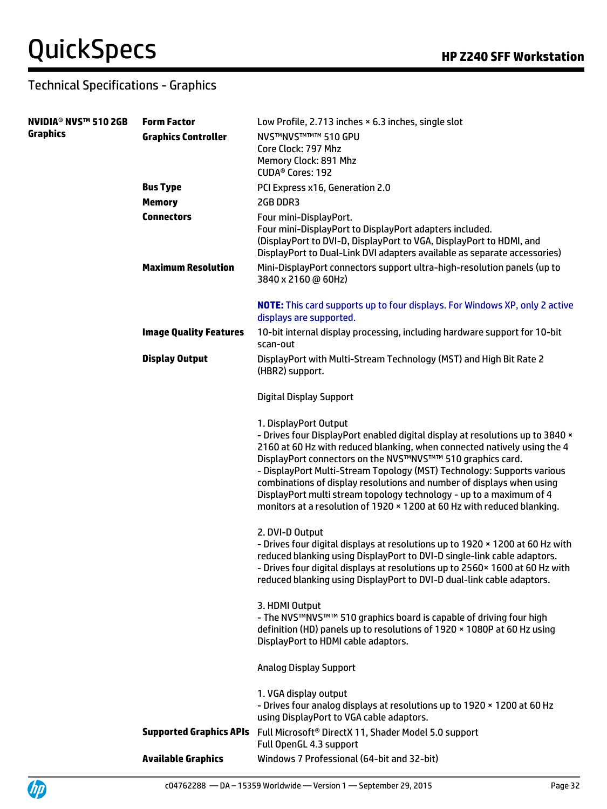Up

| <b>NVIDIA<sup>®</sup> NVS™ 510 2GB</b> | <b>Form Factor</b>             | Low Profile, 2.713 inches × 6.3 inches, single slot                                                                                                                                                                                                                                                                                                                                                                                                                                                                                                   |
|----------------------------------------|--------------------------------|-------------------------------------------------------------------------------------------------------------------------------------------------------------------------------------------------------------------------------------------------------------------------------------------------------------------------------------------------------------------------------------------------------------------------------------------------------------------------------------------------------------------------------------------------------|
| <b>Graphics</b>                        | <b>Graphics Controller</b>     | <b>NVS™NVS™™™ 510 GPU</b><br>Core Clock: 797 Mhz                                                                                                                                                                                                                                                                                                                                                                                                                                                                                                      |
|                                        |                                | Memory Clock: 891 Mhz                                                                                                                                                                                                                                                                                                                                                                                                                                                                                                                                 |
|                                        |                                | CUDA <sup>®</sup> Cores: 192                                                                                                                                                                                                                                                                                                                                                                                                                                                                                                                          |
|                                        | <b>Bus Type</b>                | PCI Express x16, Generation 2.0                                                                                                                                                                                                                                                                                                                                                                                                                                                                                                                       |
|                                        | <b>Memory</b>                  | 2GB DDR3                                                                                                                                                                                                                                                                                                                                                                                                                                                                                                                                              |
|                                        | <b>Connectors</b>              | Four mini-DisplayPort.<br>Four mini-DisplayPort to DisplayPort adapters included.<br>(DisplayPort to DVI-D, DisplayPort to VGA, DisplayPort to HDMI, and<br>DisplayPort to Dual-Link DVI adapters available as separate accessories)                                                                                                                                                                                                                                                                                                                  |
|                                        | <b>Maximum Resolution</b>      | Mini-DisplayPort connectors support ultra-high-resolution panels (up to<br>3840 x 2160 @ 60Hz)                                                                                                                                                                                                                                                                                                                                                                                                                                                        |
|                                        |                                | <b>NOTE:</b> This card supports up to four displays. For Windows XP, only 2 active<br>displays are supported.                                                                                                                                                                                                                                                                                                                                                                                                                                         |
|                                        | <b>Image Quality Features</b>  | 10-bit internal display processing, including hardware support for 10-bit<br>scan-out                                                                                                                                                                                                                                                                                                                                                                                                                                                                 |
|                                        | <b>Display Output</b>          | DisplayPort with Multi-Stream Technology (MST) and High Bit Rate 2<br>(HBR2) support.                                                                                                                                                                                                                                                                                                                                                                                                                                                                 |
|                                        |                                | <b>Digital Display Support</b>                                                                                                                                                                                                                                                                                                                                                                                                                                                                                                                        |
|                                        |                                | 1. DisplayPort Output<br>- Drives four DisplayPort enabled digital display at resolutions up to 3840 x<br>2160 at 60 Hz with reduced blanking, when connected natively using the 4<br>DisplayPort connectors on the NVS™NVS™™ 510 graphics card.<br>- DisplayPort Multi-Stream Topology (MST) Technology: Supports various<br>combinations of display resolutions and number of displays when using<br>DisplayPort multi stream topology technology - up to a maximum of 4<br>monitors at a resolution of 1920 × 1200 at 60 Hz with reduced blanking. |
|                                        |                                | 2. DVI-D Output<br>- Drives four digital displays at resolutions up to 1920 x 1200 at 60 Hz with<br>reduced blanking using DisplayPort to DVI-D single-link cable adaptors.<br>- Drives four digital displays at resolutions up to 2560 × 1600 at 60 Hz with<br>reduced blanking using DisplayPort to DVI-D dual-link cable adaptors.                                                                                                                                                                                                                 |
|                                        |                                | 3. HDMI Output<br>- The NVS™NVS™™ 510 graphics board is capable of driving four high<br>definition (HD) panels up to resolutions of 1920 × 1080P at 60 Hz using<br>DisplayPort to HDMI cable adaptors.                                                                                                                                                                                                                                                                                                                                                |
|                                        |                                | <b>Analog Display Support</b>                                                                                                                                                                                                                                                                                                                                                                                                                                                                                                                         |
|                                        |                                | 1. VGA display output<br>- Drives four analog displays at resolutions up to 1920 x 1200 at 60 Hz<br>using DisplayPort to VGA cable adaptors.                                                                                                                                                                                                                                                                                                                                                                                                          |
|                                        | <b>Supported Graphics APIs</b> | Full Microsoft <sup>®</sup> DirectX 11, Shader Model 5.0 support<br>Full OpenGL 4.3 support                                                                                                                                                                                                                                                                                                                                                                                                                                                           |
|                                        | <b>Available Graphics</b>      | Windows 7 Professional (64-bit and 32-bit)                                                                                                                                                                                                                                                                                                                                                                                                                                                                                                            |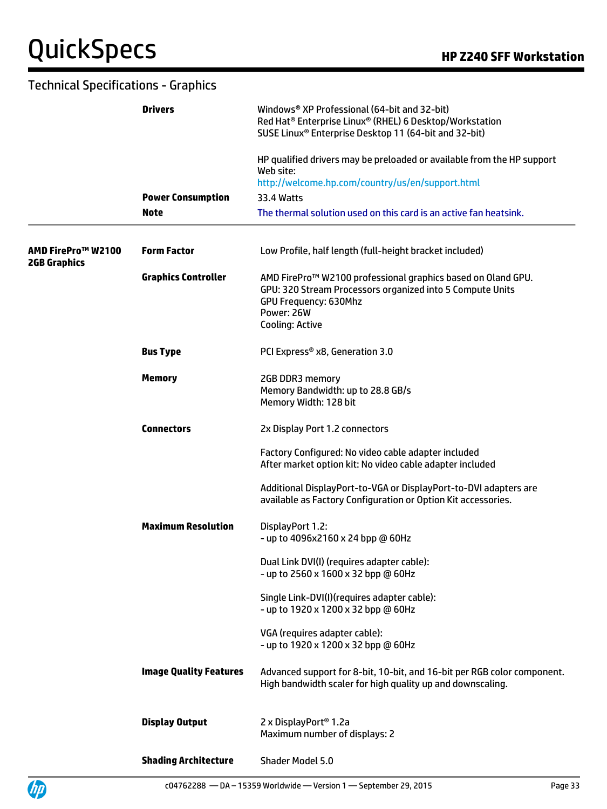| <b>Technical Specifications - Graphics</b> |                               |                                                                                                                                                                                          |
|--------------------------------------------|-------------------------------|------------------------------------------------------------------------------------------------------------------------------------------------------------------------------------------|
|                                            | <b>Drivers</b>                | Windows® XP Professional (64-bit and 32-bit)<br>Red Hat <sup>®</sup> Enterprise Linux® (RHEL) 6 Desktop/Workstation<br>SUSE Linux <sup>®</sup> Enterprise Desktop 11 (64-bit and 32-bit) |
|                                            |                               | HP qualified drivers may be preloaded or available from the HP support<br>Web site:                                                                                                      |
|                                            |                               | http://welcome.hp.com/country/us/en/support.html                                                                                                                                         |
|                                            | <b>Power Consumption</b>      | 33.4 Watts                                                                                                                                                                               |
|                                            | <b>Note</b>                   | The thermal solution used on this card is an active fan heatsink.                                                                                                                        |
| AMD FirePro™ W2100<br><b>2GB Graphics</b>  | <b>Form Factor</b>            | Low Profile, half length (full-height bracket included)                                                                                                                                  |
|                                            | <b>Graphics Controller</b>    | AMD FirePro™ W2100 professional graphics based on Oland GPU.<br>GPU: 320 Stream Processors organized into 5 Compute Units<br>GPU Frequency: 630Mhz<br>Power: 26W<br>Cooling: Active      |
|                                            | <b>Bus Type</b>               | PCI Express® x8, Generation 3.0                                                                                                                                                          |
|                                            | <b>Memory</b>                 | 2GB DDR3 memory<br>Memory Bandwidth: up to 28.8 GB/s<br>Memory Width: 128 bit                                                                                                            |
|                                            | <b>Connectors</b>             | 2x Display Port 1.2 connectors                                                                                                                                                           |
|                                            |                               | Factory Configured: No video cable adapter included<br>After market option kit: No video cable adapter included                                                                          |
|                                            |                               | Additional DisplayPort-to-VGA or DisplayPort-to-DVI adapters are<br>available as Factory Configuration or Option Kit accessories.                                                        |
|                                            | <b>Maximum Resolution</b>     | DisplayPort 1.2:<br>- up to 4096x2160 x 24 bpp @ 60Hz                                                                                                                                    |
|                                            |                               | Dual Link DVI(I) (requires adapter cable):<br>- up to 2560 x 1600 x 32 bpp @ 60Hz                                                                                                        |
|                                            |                               | Single Link-DVI(I)(requires adapter cable):<br>- up to 1920 x 1200 x 32 bpp @ 60Hz                                                                                                       |
|                                            |                               | VGA (requires adapter cable):<br>- up to 1920 x 1200 x 32 bpp @ 60Hz                                                                                                                     |
|                                            | <b>Image Quality Features</b> | Advanced support for 8-bit, 10-bit, and 16-bit per RGB color component.<br>High bandwidth scaler for high quality up and downscaling.                                                    |
|                                            | <b>Display Output</b>         | 2 x DisplayPort <sup>®</sup> 1.2a<br>Maximum number of displays: 2                                                                                                                       |
|                                            | <b>Shading Architecture</b>   | Shader Model 5.0                                                                                                                                                                         |

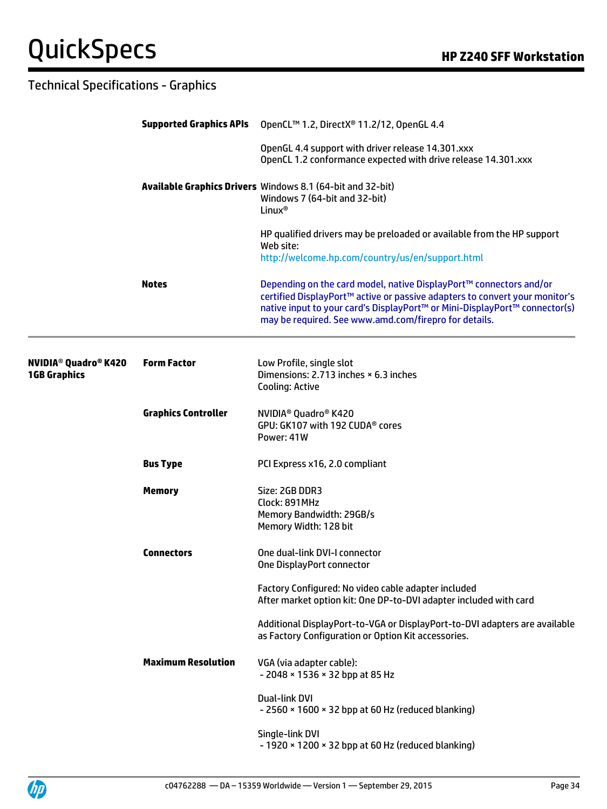### QuickSpecs **Manual Section HP Z240 SFF Workstation**

|                                             | <b>Supported Graphics APIs</b> | OpenCL™ 1.2, DirectX® 11.2/12, OpenGL 4.4                                                                                                                                                                                                                                                |
|---------------------------------------------|--------------------------------|------------------------------------------------------------------------------------------------------------------------------------------------------------------------------------------------------------------------------------------------------------------------------------------|
|                                             |                                | OpenGL 4.4 support with driver release 14.301.xxx<br>OpenCL 1.2 conformance expected with drive release 14.301.xxx                                                                                                                                                                       |
|                                             |                                | Available Graphics Drivers Windows 8.1 (64-bit and 32-bit)<br>Windows 7 (64-bit and 32-bit)<br>Linux <sup>®</sup>                                                                                                                                                                        |
|                                             |                                | HP qualified drivers may be preloaded or available from the HP support<br>Web site:<br>http://welcome.hp.com/country/us/en/support.html                                                                                                                                                  |
|                                             | <b>Notes</b>                   | Depending on the card model, native DisplayPort™ connectors and/or<br>certified DisplayPort™ active or passive adapters to convert your monitor's<br>native input to your card's DisplayPort™ or Mini-DisplayPort™ connector(s)<br>may be required. See www.amd.com/firepro for details. |
| NVIDIA® Quadro® K420<br><b>1GB Graphics</b> | <b>Form Factor</b>             | Low Profile, single slot<br>Dimensions: 2.713 inches × 6.3 inches<br><b>Cooling: Active</b>                                                                                                                                                                                              |
|                                             | <b>Graphics Controller</b>     | NVIDIA <sup>®</sup> Quadro <sup>®</sup> K420<br>GPU: GK107 with 192 CUDA® cores<br>Power: 41W                                                                                                                                                                                            |
|                                             | <b>Bus Type</b>                | PCI Express x16, 2.0 compliant                                                                                                                                                                                                                                                           |
|                                             | <b>Memory</b>                  | Size: 2GB DDR3<br>Clock: 891MHz<br>Memory Bandwidth: 29GB/s<br>Memory Width: 128 bit                                                                                                                                                                                                     |
|                                             | <b>Connectors</b>              | One dual-link DVI-I connector<br>One DisplayPort connector                                                                                                                                                                                                                               |
|                                             |                                | Factory Configured: No video cable adapter included<br>After market option kit: One DP-to-DVI adapter included with card                                                                                                                                                                 |
|                                             |                                | Additional DisplayPort-to-VGA or DisplayPort-to-DVI adapters are available<br>as Factory Configuration or Option Kit accessories.                                                                                                                                                        |
|                                             | <b>Maximum Resolution</b>      | VGA (via adapter cable):<br>- 2048 × 1536 × 32 bpp at 85 Hz                                                                                                                                                                                                                              |
|                                             |                                | Dual-link DVI<br>$-2560 \times 1600 \times 32$ bpp at 60 Hz (reduced blanking)                                                                                                                                                                                                           |
|                                             |                                | Single-link DVI<br>- 1920 × 1200 × 32 bpp at 60 Hz (reduced blanking)                                                                                                                                                                                                                    |

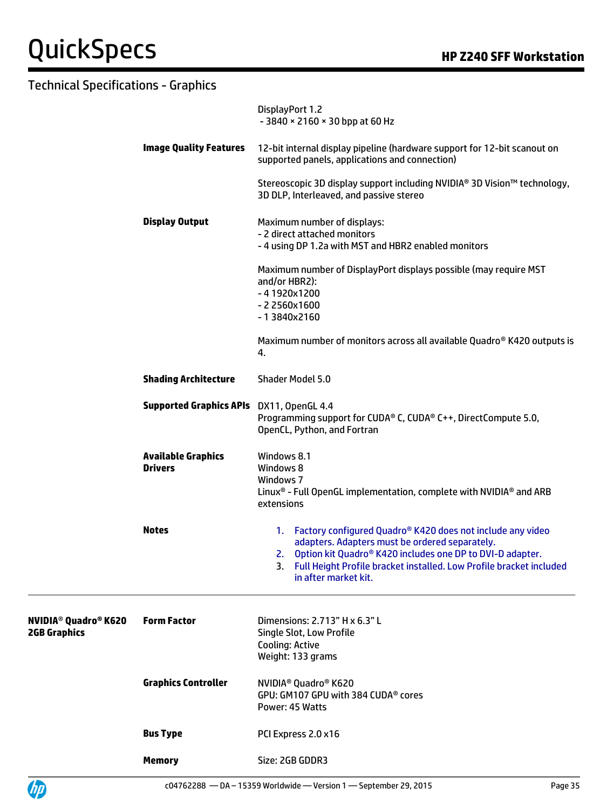UP

|                                                                          |                                             | DisplayPort 1.2<br>$-3840 \times 2160 \times 30$ bpp at 60 Hz                                                                                                                                                                                                                           |
|--------------------------------------------------------------------------|---------------------------------------------|-----------------------------------------------------------------------------------------------------------------------------------------------------------------------------------------------------------------------------------------------------------------------------------------|
|                                                                          | <b>Image Quality Features</b>               | 12-bit internal display pipeline (hardware support for 12-bit scanout on<br>supported panels, applications and connection)                                                                                                                                                              |
|                                                                          |                                             | Stereoscopic 3D display support including NVIDIA® 3D Vision™ technology,<br>3D DLP, Interleaved, and passive stereo                                                                                                                                                                     |
|                                                                          | <b>Display Output</b>                       | Maximum number of displays:<br>- 2 direct attached monitors<br>- 4 using DP 1.2a with MST and HBR2 enabled monitors                                                                                                                                                                     |
|                                                                          |                                             | Maximum number of DisplayPort displays possible (may require MST<br>and/or HBR2):<br>$-41920x1200$<br>$-22560x1600$<br>$-13840x2160$                                                                                                                                                    |
|                                                                          |                                             | Maximum number of monitors across all available Quadro® K420 outputs is<br>4.                                                                                                                                                                                                           |
|                                                                          | <b>Shading Architecture</b>                 | <b>Shader Model 5.0</b>                                                                                                                                                                                                                                                                 |
|                                                                          | Supported Graphics APIs DX11, OpenGL 4.4    | Programming support for CUDA® C, CUDA® C++, DirectCompute 5.0,<br>OpenCL, Python, and Fortran                                                                                                                                                                                           |
|                                                                          | <b>Available Graphics</b><br><b>Drivers</b> | Windows 8.1<br>Windows 8<br>Windows 7<br>Linux <sup>®</sup> - Full OpenGL implementation, complete with NVIDIA <sup>®</sup> and ARB<br>extensions                                                                                                                                       |
|                                                                          | <b>Notes</b>                                | 1. Factory configured Quadro® K420 does not include any video<br>adapters. Adapters must be ordered separately.<br>Option kit Quadro® K420 includes one DP to DVI-D adapter.<br>2.<br>3.<br>Full Height Profile bracket installed. Low Profile bracket included<br>in after market kit. |
| <b>NVIDIA<sup>®</sup> Quadro<sup>®</sup> K620</b><br><b>2GB Graphics</b> | <b>Form Factor</b>                          | Dimensions: 2.713" H x 6.3" L<br>Single Slot, Low Profile<br>Cooling: Active<br>Weight: 133 grams                                                                                                                                                                                       |
|                                                                          | <b>Graphics Controller</b>                  | NVIDIA <sup>®</sup> Quadro <sup>®</sup> K620<br>GPU: GM107 GPU with 384 CUDA® cores<br>Power: 45 Watts                                                                                                                                                                                  |
|                                                                          | <b>Bus Type</b>                             | PCI Express 2.0 x16                                                                                                                                                                                                                                                                     |
|                                                                          | <b>Memory</b>                               | Size: 2GB GDDR3                                                                                                                                                                                                                                                                         |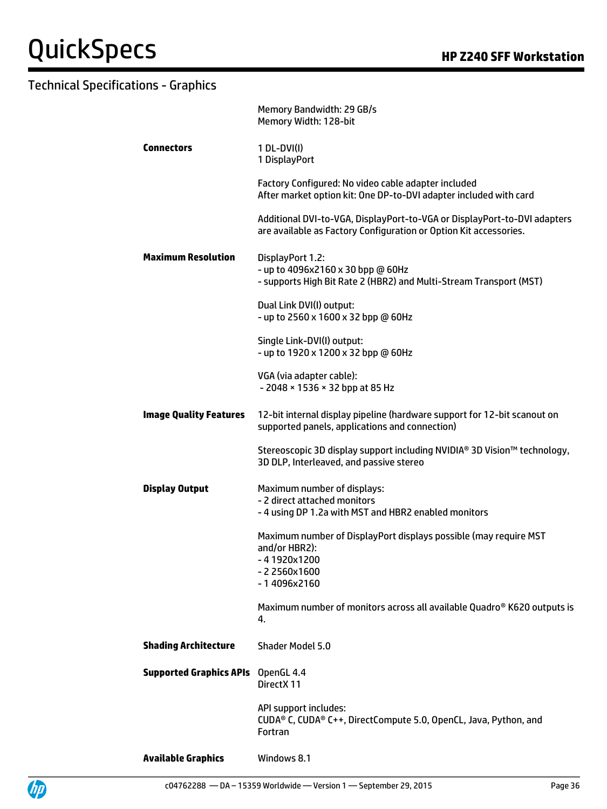|                                           | Memory Bandwidth: 29 GB/s<br>Memory Width: 128-bit                                                                                            |  |
|-------------------------------------------|-----------------------------------------------------------------------------------------------------------------------------------------------|--|
| <b>Connectors</b>                         | $1 DL-DVI(I)$<br>1 DisplayPort                                                                                                                |  |
|                                           | Factory Configured: No video cable adapter included<br>After market option kit: One DP-to-DVI adapter included with card                      |  |
|                                           | Additional DVI-to-VGA, DisplayPort-to-VGA or DisplayPort-to-DVI adapters<br>are available as Factory Configuration or Option Kit accessories. |  |
| <b>Maximum Resolution</b>                 | DisplayPort 1.2:<br>- up to 4096x2160 x 30 bpp @ 60Hz<br>- supports High Bit Rate 2 (HBR2) and Multi-Stream Transport (MST)                   |  |
|                                           | Dual Link DVI(I) output:<br>- up to 2560 x 1600 x 32 bpp @ 60Hz                                                                               |  |
|                                           | Single Link-DVI(I) output:<br>- up to 1920 x 1200 x 32 bpp @ 60Hz                                                                             |  |
|                                           | VGA (via adapter cable):<br>- 2048 × 1536 × 32 bpp at 85 Hz                                                                                   |  |
| <b>Image Quality Features</b>             | 12-bit internal display pipeline (hardware support for 12-bit scanout on<br>supported panels, applications and connection)                    |  |
|                                           | Stereoscopic 3D display support including NVIDIA® 3D Vision™ technology,<br>3D DLP, Interleaved, and passive stereo                           |  |
| <b>Display Output</b>                     | Maximum number of displays:<br>- 2 direct attached monitors<br>- 4 using DP 1.2a with MST and HBR2 enabled monitors                           |  |
|                                           | Maximum number of DisplayPort displays possible (may require MST<br>and/or HBR2):<br>-41920x1200                                              |  |
|                                           | $-22560x1600$<br>-14096x2160                                                                                                                  |  |
|                                           | Maximum number of monitors across all available Quadro® K620 outputs is<br>4.                                                                 |  |
| <b>Shading Architecture</b>               | Shader Model 5.0                                                                                                                              |  |
| <b>Supported Graphics APIs</b> OpenGL 4.4 | DirectX 11                                                                                                                                    |  |
|                                           | API support includes:<br>CUDA® C, CUDA® C++, DirectCompute 5.0, OpenCL, Java, Python, and<br><b>Fortran</b>                                   |  |
| <b>Available Graphics</b>                 | Windows 8.1                                                                                                                                   |  |



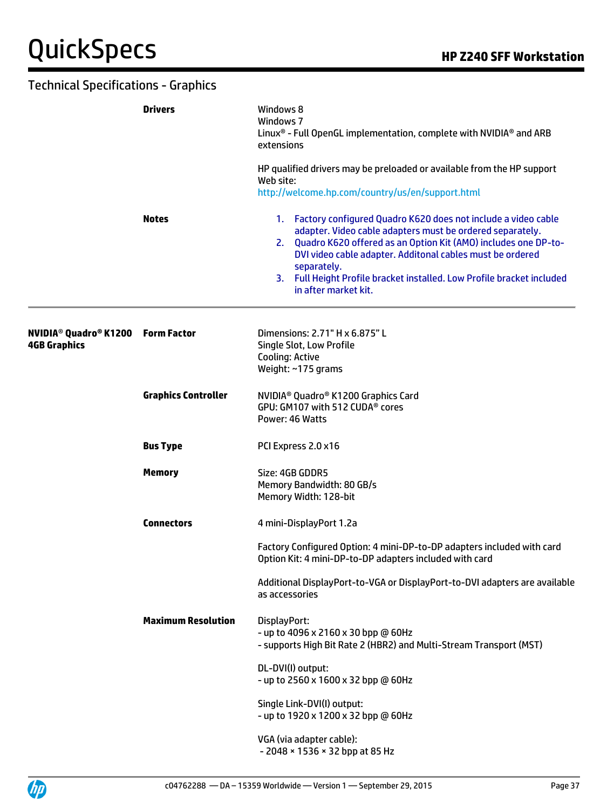|                     | <b>Drivers</b>             | Windows 8<br>Windows 7<br>Linux <sup>®</sup> - Full OpenGL implementation, complete with NVIDIA <sup>®</sup> and ARB<br>extensions                                                                                                                                                                                                                                               |  |  |
|---------------------|----------------------------|----------------------------------------------------------------------------------------------------------------------------------------------------------------------------------------------------------------------------------------------------------------------------------------------------------------------------------------------------------------------------------|--|--|
|                     |                            | HP qualified drivers may be preloaded or available from the HP support<br>Web site:<br>http://welcome.hp.com/country/us/en/support.html                                                                                                                                                                                                                                          |  |  |
|                     | <b>Notes</b>               | 1. Factory configured Quadro K620 does not include a video cable<br>adapter. Video cable adapters must be ordered separately.<br>2. Quadro K620 offered as an Option Kit (AMO) includes one DP-to-<br>DVI video cable adapter. Additonal cables must be ordered<br>separately.<br>3. Full Height Profile bracket installed. Low Profile bracket included<br>in after market kit. |  |  |
| <b>4GB Graphics</b> |                            | Dimensions: 2.71" H x 6.875" L<br>Single Slot, Low Profile<br>Cooling: Active<br>Weight: ~175 grams                                                                                                                                                                                                                                                                              |  |  |
|                     | <b>Graphics Controller</b> | NVIDIA <sup>®</sup> Quadro® K1200 Graphics Card<br>GPU: GM107 with 512 CUDA® cores<br>Power: 46 Watts                                                                                                                                                                                                                                                                            |  |  |
|                     | <b>Bus Type</b>            | PCI Express 2.0 x16                                                                                                                                                                                                                                                                                                                                                              |  |  |
|                     | <b>Memory</b>              | Size: 4GB GDDR5<br>Memory Bandwidth: 80 GB/s<br>Memory Width: 128-bit                                                                                                                                                                                                                                                                                                            |  |  |
|                     | <b>Connectors</b>          | 4 mini-DisplayPort 1.2a                                                                                                                                                                                                                                                                                                                                                          |  |  |
|                     |                            | Factory Configured Option: 4 mini-DP-to-DP adapters included with card<br>Option Kit: 4 mini-DP-to-DP adapters included with card                                                                                                                                                                                                                                                |  |  |
|                     |                            | Additional DisplayPort-to-VGA or DisplayPort-to-DVI adapters are available<br>as accessories                                                                                                                                                                                                                                                                                     |  |  |
|                     | <b>Maximum Resolution</b>  | DisplayPort:<br>- up to 4096 x 2160 x 30 bpp @ 60Hz<br>- supports High Bit Rate 2 (HBR2) and Multi-Stream Transport (MST)                                                                                                                                                                                                                                                        |  |  |
|                     |                            | DL-DVI(I) output:<br>- up to 2560 x 1600 x 32 bpp @ 60Hz                                                                                                                                                                                                                                                                                                                         |  |  |
|                     |                            | Single Link-DVI(I) output:<br>- up to 1920 x 1200 x 32 bpp @ 60Hz                                                                                                                                                                                                                                                                                                                |  |  |
|                     |                            | VGA (via adapter cable):<br>- 2048 × 1536 × 32 bpp at 85 Hz                                                                                                                                                                                                                                                                                                                      |  |  |

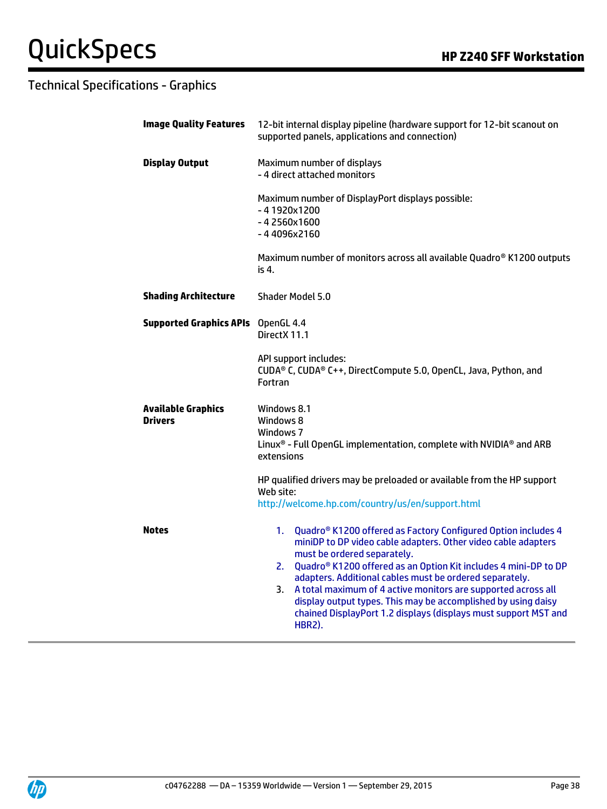| <b>Image Quality Features</b>        | 12-bit internal display pipeline (hardware support for 12-bit scanout on<br>supported panels, applications and connection)                                                                                                                                                                                                                                                                                                                                                                                                                      |  |  |
|--------------------------------------|-------------------------------------------------------------------------------------------------------------------------------------------------------------------------------------------------------------------------------------------------------------------------------------------------------------------------------------------------------------------------------------------------------------------------------------------------------------------------------------------------------------------------------------------------|--|--|
| <b>Display Output</b>                | Maximum number of displays<br>- 4 direct attached monitors                                                                                                                                                                                                                                                                                                                                                                                                                                                                                      |  |  |
|                                      | Maximum number of DisplayPort displays possible:<br>-41920x1200<br>-42560x1600<br>-44096x2160                                                                                                                                                                                                                                                                                                                                                                                                                                                   |  |  |
|                                      | Maximum number of monitors across all available Quadro® K1200 outputs<br>is 4.                                                                                                                                                                                                                                                                                                                                                                                                                                                                  |  |  |
| <b>Shading Architecture</b>          | <b>Shader Model 5.0</b>                                                                                                                                                                                                                                                                                                                                                                                                                                                                                                                         |  |  |
| <b>Supported Graphics APIs</b>       | OpenGL 4.4<br>DirectX 11.1                                                                                                                                                                                                                                                                                                                                                                                                                                                                                                                      |  |  |
|                                      | API support includes:<br>CUDA® C, CUDA® C++, DirectCompute 5.0, OpenCL, Java, Python, and<br>Fortran                                                                                                                                                                                                                                                                                                                                                                                                                                            |  |  |
| <b>Available Graphics</b><br>Drivers | Windows 8.1<br>Windows 8<br>Windows 7<br>Linux <sup>®</sup> - Full OpenGL implementation, complete with NVIDIA <sup>®</sup> and ARB<br>extensions                                                                                                                                                                                                                                                                                                                                                                                               |  |  |
|                                      | HP qualified drivers may be preloaded or available from the HP support<br>Web site:<br>http://welcome.hp.com/country/us/en/support.html                                                                                                                                                                                                                                                                                                                                                                                                         |  |  |
| <b>Notes</b>                         | Quadro <sup>®</sup> K1200 offered as Factory Configured Option includes 4<br>1.<br>miniDP to DP video cable adapters. Other video cable adapters<br>must be ordered separately.<br>Quadro® K1200 offered as an Option Kit includes 4 mini-DP to DP<br>2.<br>adapters. Additional cables must be ordered separately.<br>A total maximum of 4 active monitors are supported across all<br>3.<br>display output types. This may be accomplished by using daisy<br>chained DisplayPort 1.2 displays (displays must support MST and<br><b>HBR2).</b> |  |  |

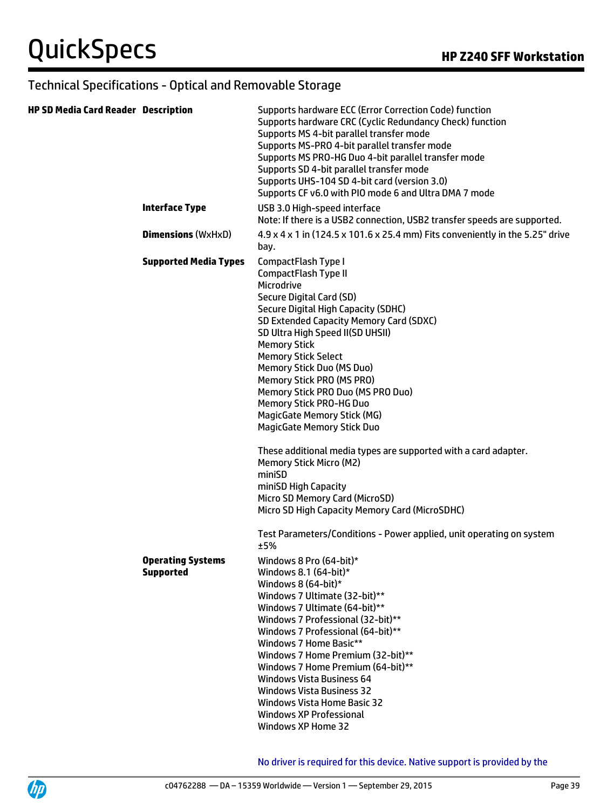#### Technical Specifications - Optical and Removable Storage

| <b>HP SD Media Card Reader Description</b> |                                              | Supports hardware ECC (Error Correction Code) function<br>Supports hardware CRC (Cyclic Redundancy Check) function<br>Supports MS 4-bit parallel transfer mode<br>Supports MS-PRO 4-bit parallel transfer mode<br>Supports MS PRO-HG Duo 4-bit parallel transfer mode<br>Supports SD 4-bit parallel transfer mode<br>Supports UHS-104 SD 4-bit card (version 3.0)<br>Supports CF v6.0 with PIO mode 6 and Ultra DMA 7 mode                                                                                                                                                                                                                                                                                                                                                             |
|--------------------------------------------|----------------------------------------------|----------------------------------------------------------------------------------------------------------------------------------------------------------------------------------------------------------------------------------------------------------------------------------------------------------------------------------------------------------------------------------------------------------------------------------------------------------------------------------------------------------------------------------------------------------------------------------------------------------------------------------------------------------------------------------------------------------------------------------------------------------------------------------------|
|                                            | <b>Interface Type</b>                        | USB 3.0 High-speed interface<br>Note: If there is a USB2 connection, USB2 transfer speeds are supported.                                                                                                                                                                                                                                                                                                                                                                                                                                                                                                                                                                                                                                                                               |
|                                            | <b>Dimensions (WxHxD)</b>                    | 4.9 x 4 x 1 in (124.5 x 101.6 x 25.4 mm) Fits conveniently in the 5.25" drive<br>bay.                                                                                                                                                                                                                                                                                                                                                                                                                                                                                                                                                                                                                                                                                                  |
|                                            | <b>Supported Media Types</b>                 | CompactFlash Type I<br>CompactFlash Type II<br>Microdrive<br>Secure Digital Card (SD)<br>Secure Digital High Capacity (SDHC)<br>SD Extended Capacity Memory Card (SDXC)<br>SD Ultra High Speed II(SD UHSII)<br><b>Memory Stick</b><br><b>Memory Stick Select</b><br>Memory Stick Duo (MS Duo)<br>Memory Stick PRO (MS PRO)<br>Memory Stick PRO Duo (MS PRO Duo)<br><b>Memory Stick PRO-HG Duo</b><br><b>MagicGate Memory Stick (MG)</b><br><b>MagicGate Memory Stick Duo</b><br>These additional media types are supported with a card adapter.<br><b>Memory Stick Micro (M2)</b><br>miniSD<br>miniSD High Capacity<br>Micro SD Memory Card (MicroSD)<br>Micro SD High Capacity Memory Card (MicroSDHC)<br>Test Parameters/Conditions - Power applied, unit operating on system<br>±5% |
|                                            | <b>Operating Systems</b><br><b>Supported</b> | Windows 8 Pro (64-bit)*<br>Windows 8.1 $(64$ -bit $)*$<br>Windows 8 $(64-bit)*$<br>Windows 7 Ultimate (32-bit)**<br>Windows 7 Ultimate (64-bit)**<br>Windows 7 Professional (32-bit)**<br>Windows 7 Professional (64-bit)**<br>Windows 7 Home Basic**<br>Windows 7 Home Premium (32-bit)**<br>Windows 7 Home Premium (64-bit)**<br><b>Windows Vista Business 64</b><br><b>Windows Vista Business 32</b><br><b>Windows Vista Home Basic 32</b><br><b>Windows XP Professional</b><br><b>Windows XP Home 32</b>                                                                                                                                                                                                                                                                           |

No driver is required for this device. Native support is provided by the

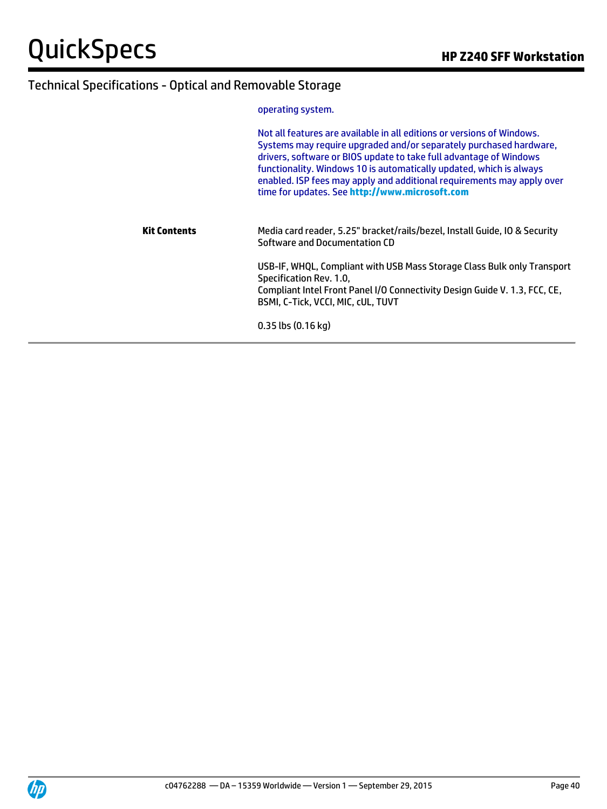### Technical Specifications - Optical and Removable Storage

operating system.

|              | Not all features are available in all editions or versions of Windows.<br>Systems may require upgraded and/or separately purchased hardware,<br>drivers, software or BIOS update to take full advantage of Windows<br>functionality. Windows 10 is automatically updated, which is always<br>enabled. ISP fees may apply and additional requirements may apply over<br>time for updates. See http://www.microsoft.com |
|--------------|-----------------------------------------------------------------------------------------------------------------------------------------------------------------------------------------------------------------------------------------------------------------------------------------------------------------------------------------------------------------------------------------------------------------------|
| Kit Contents | Media card reader, 5.25" bracket/rails/bezel, Install Guide, IO & Security<br>Software and Documentation CD                                                                                                                                                                                                                                                                                                           |
|              | USB-IF, WHQL, Compliant with USB Mass Storage Class Bulk only Transport<br>Specification Rev. 1.0,<br>Compliant Intel Front Panel I/O Connectivity Design Guide V. 1.3, FCC, CE,<br>BSMI, C-Tick, VCCI, MIC, cUL, TUVT                                                                                                                                                                                                |
|              | $0.35$ lbs $(0.16$ kg)                                                                                                                                                                                                                                                                                                                                                                                                |

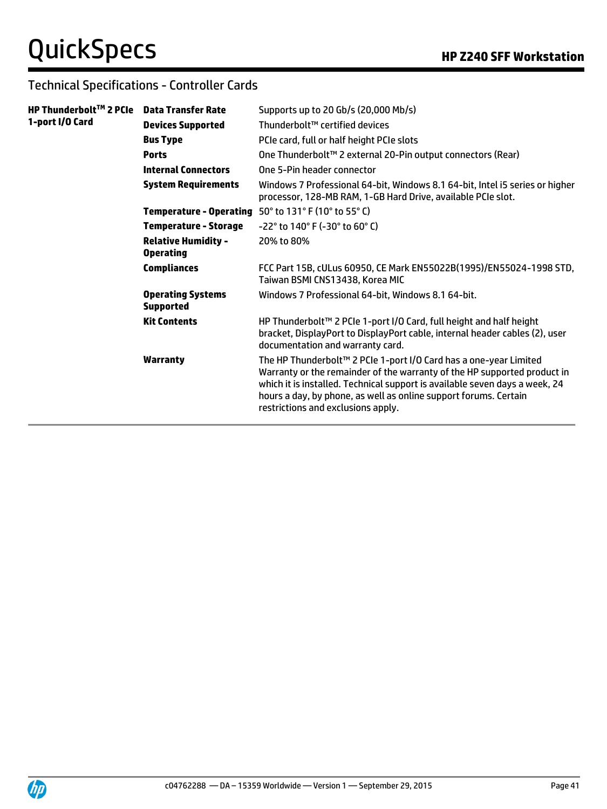### Technical Specifications - Controller Cards

| HP Thunderbolt™ 2 PCIe | <b>Data Transfer Rate</b>                      | Supports up to 20 Gb/s (20,000 Mb/s)                                                                                                                                                                                                                                                                                                   |
|------------------------|------------------------------------------------|----------------------------------------------------------------------------------------------------------------------------------------------------------------------------------------------------------------------------------------------------------------------------------------------------------------------------------------|
| 1-port I/O Card        | <b>Devices Supported</b>                       | Thunderbolt™ certified devices                                                                                                                                                                                                                                                                                                         |
|                        | <b>Bus Type</b>                                | PCIe card, full or half height PCIe slots                                                                                                                                                                                                                                                                                              |
|                        | <b>Ports</b>                                   | One Thunderbolt™ 2 external 20-Pin output connectors (Rear)                                                                                                                                                                                                                                                                            |
|                        | <b>Internal Connectors</b>                     | One 5-Pin header connector                                                                                                                                                                                                                                                                                                             |
|                        | <b>System Requirements</b>                     | Windows 7 Professional 64-bit, Windows 8.1 64-bit, Intel i5 series or higher<br>processor, 128-MB RAM, 1-GB Hard Drive, available PCIe slot.                                                                                                                                                                                           |
|                        |                                                | Temperature - Operating 50° to 131° F (10° to 55° C)                                                                                                                                                                                                                                                                                   |
|                        | <b>Temperature - Storage</b>                   | $-22^{\circ}$ to 140° F (-30° to 60° C)                                                                                                                                                                                                                                                                                                |
|                        | <b>Relative Humidity -</b><br><b>Operating</b> | 20% to 80%                                                                                                                                                                                                                                                                                                                             |
|                        | <b>Compliances</b>                             | FCC Part 15B, cULus 60950, CE Mark EN55022B(1995)/EN55024-1998 STD,<br>Taiwan BSMI CNS13438, Korea MIC                                                                                                                                                                                                                                 |
|                        | <b>Operating Systems</b><br><b>Supported</b>   | Windows 7 Professional 64-bit, Windows 8.1 64-bit.                                                                                                                                                                                                                                                                                     |
|                        | <b>Kit Contents</b>                            | HP Thunderbolt <sup>™</sup> 2 PCIe 1-port I/O Card, full height and half height<br>bracket, DisplayPort to DisplayPort cable, internal header cables (2), user<br>documentation and warranty card.                                                                                                                                     |
|                        | <b>Warranty</b>                                | The HP Thunderbolt™ 2 PCIe 1-port I/O Card has a one-year Limited<br>Warranty or the remainder of the warranty of the HP supported product in<br>which it is installed. Technical support is available seven days a week, 24<br>hours a day, by phone, as well as online support forums. Certain<br>restrictions and exclusions apply. |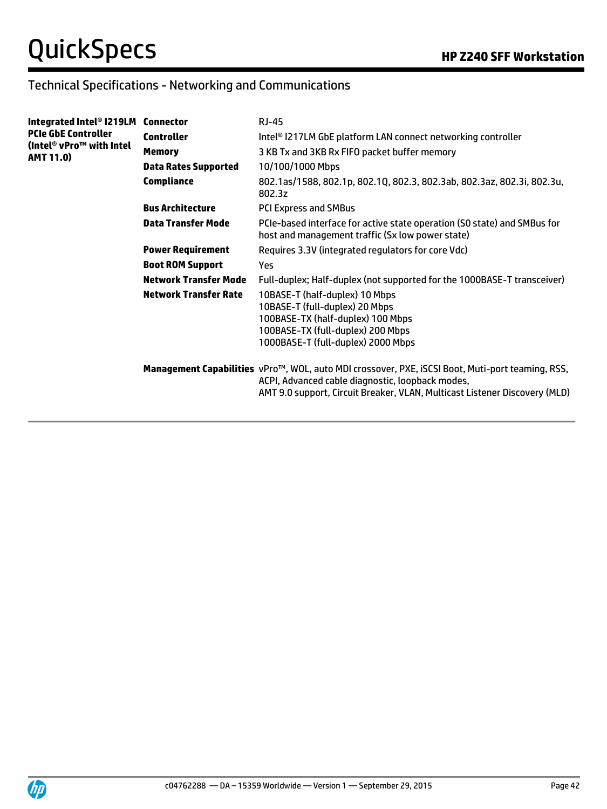### Technical Specifications - Networking and Communications

| Integrated Intel® I219LM Connector                                         |                              | RJ-45                                                                                                                                                                                                                              |
|----------------------------------------------------------------------------|------------------------------|------------------------------------------------------------------------------------------------------------------------------------------------------------------------------------------------------------------------------------|
| <b>PCIe GbE Controller</b><br>(Intel® vPro™ with Intel<br><b>AMT 11.0)</b> | <b>Controller</b>            | Intel® I217LM GbE platform LAN connect networking controller                                                                                                                                                                       |
|                                                                            | <b>Memory</b>                | 3 KB Tx and 3KB Rx FIFO packet buffer memory                                                                                                                                                                                       |
|                                                                            | <b>Data Rates Supported</b>  | 10/100/1000 Mbps                                                                                                                                                                                                                   |
|                                                                            | Compliance                   | 802.1as/1588, 802.1p, 802.1Q, 802.3, 802.3ab, 802.3az, 802.3i, 802.3u,<br>802.3z                                                                                                                                                   |
|                                                                            | <b>Bus Architecture</b>      | <b>PCI Express and SMBus</b>                                                                                                                                                                                                       |
|                                                                            | Data Transfer Mode           | PCIe-based interface for active state operation (SO state) and SMBus for<br>host and management traffic (Sx low power state)                                                                                                       |
|                                                                            | <b>Power Requirement</b>     | Requires 3.3V (integrated regulators for core Vdc)                                                                                                                                                                                 |
|                                                                            | <b>Boot ROM Support</b>      | Yes                                                                                                                                                                                                                                |
|                                                                            | <b>Network Transfer Mode</b> | Full-duplex; Half-duplex (not supported for the 1000BASE-T transceiver)                                                                                                                                                            |
|                                                                            | <b>Network Transfer Rate</b> | 10BASE-T (half-duplex) 10 Mbps<br>10BASE-T (full-duplex) 20 Mbps<br>100BASE-TX (half-duplex) 100 Mbps<br>100BASE-TX (full-duplex) 200 Mbps<br>1000BASE-T (full-duplex) 2000 Mbps                                                   |
|                                                                            |                              | Management Capabilities vPro™, WOL, auto MDI crossover, PXE, iSCSI Boot, Muti-port teaming, RSS,<br>ACPI, Advanced cable diagnostic, loopback modes,<br>AMT 9.0 support, Circuit Breaker, VLAN, Multicast Listener Discovery (MLD) |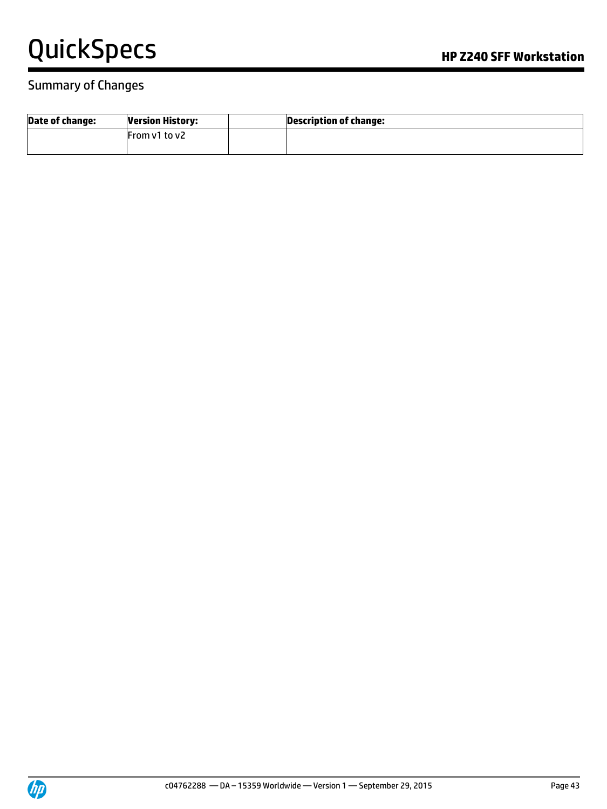#### Summary of Changes

| <b>Date of change:</b> | <b>Version History:</b> | <b>Description of change:</b> |
|------------------------|-------------------------|-------------------------------|
|                        | From v1 to v2           |                               |